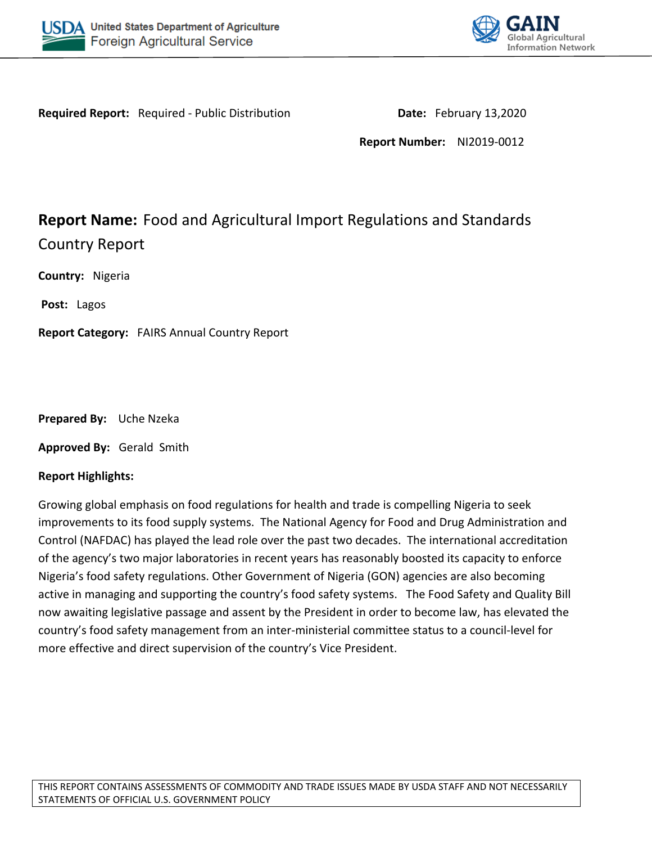



**Required Report:** Required - Public Distribution **Date: February 13,2020** 

**Report Number:** NI2019-0012

# **Report Name:** Food and Agricultural Import Regulations and Standards Country Report

**Country:** Nigeria

**Post:** Lagos

**Report Category:** FAIRS Annual Country Report

**Prepared By:** Uche Nzeka

**Approved By:** Gerald Smith

#### **Report Highlights:**

Growing global emphasis on food regulations for health and trade is compelling Nigeria to seek improvements to its food supply systems. The National Agency for Food and Drug Administration and Control (NAFDAC) has played the lead role over the past two decades. The international accreditation of the agency's two major laboratories in recent years has reasonably boosted its capacity to enforce Nigeria's food safety regulations. Other Government of Nigeria (GON) agencies are also becoming active in managing and supporting the country's food safety systems. The Food Safety and Quality Bill now awaiting legislative passage and assent by the President in order to become law, has elevated the country's food safety management from an inter-ministerial committee status to a council-level for more effective and direct supervision of the country's Vice President.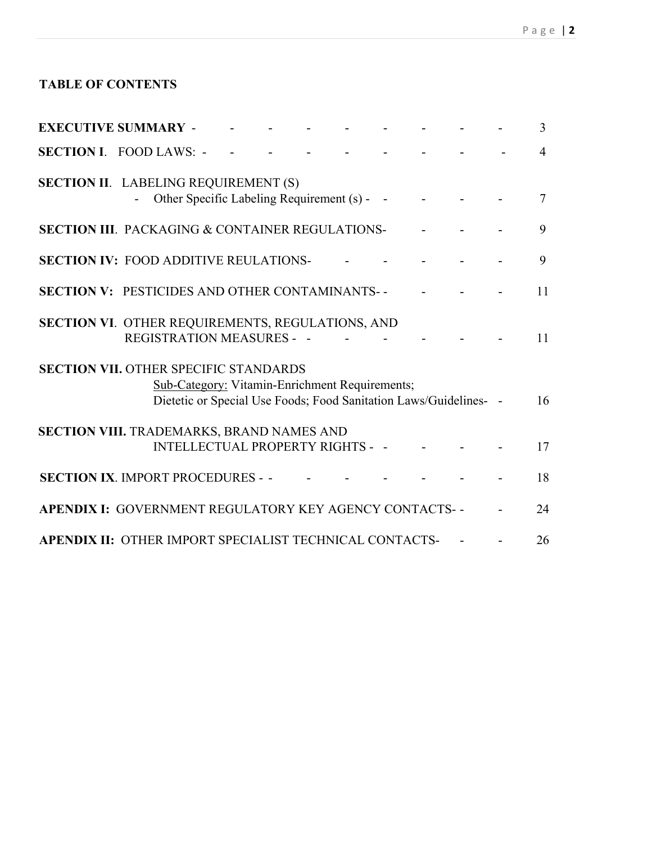# **TABLE OF CONTENTS**

| <b>EXECUTIVE SUMMARY -</b>                                    |  |                                                                                                                            |  |  |  | 3  |
|---------------------------------------------------------------|--|----------------------------------------------------------------------------------------------------------------------------|--|--|--|----|
| <b>SECTION I. FOOD LAWS: -</b>                                |  |                                                                                                                            |  |  |  | 4  |
| <b>SECTION II. LABELING REQUIREMENT (S)</b>                   |  | Other Specific Labeling Requirement (s) -                                                                                  |  |  |  | 7  |
| <b>SECTION III. PACKAGING &amp; CONTAINER REGULATIONS-</b>    |  |                                                                                                                            |  |  |  | 9  |
| <b>SECTION IV: FOOD ADDITIVE REULATIONS-</b>                  |  |                                                                                                                            |  |  |  | 9  |
| <b>SECTION V: PESTICIDES AND OTHER CONTAMINANTS--</b>         |  |                                                                                                                            |  |  |  | 11 |
| SECTION VI. OTHER REQUIREMENTS, REGULATIONS, AND              |  | <b>REGISTRATION MEASURES - -</b>                                                                                           |  |  |  | 11 |
| <b>SECTION VII. OTHER SPECIFIC STANDARDS</b>                  |  | <b>Sub-Category: Vitamin-Enrichment Requirements;</b><br>Dietetic or Special Use Foods; Food Sanitation Laws/Guidelines- - |  |  |  | 16 |
| SECTION VIII. TRADEMARKS, BRAND NAMES AND                     |  | <b>INTELLECTUAL PROPERTY RIGHTS -</b>                                                                                      |  |  |  | 17 |
| <b>SECTION IX. IMPORT PROCEDURES - -</b>                      |  |                                                                                                                            |  |  |  | 18 |
| <b>APENDIX I: GOVERNMENT REGULATORY KEY AGENCY CONTACTS--</b> |  |                                                                                                                            |  |  |  | 24 |
| APENDIX II: OTHER IMPORT SPECIALIST TECHNICAL CONTACTS-       |  |                                                                                                                            |  |  |  | 26 |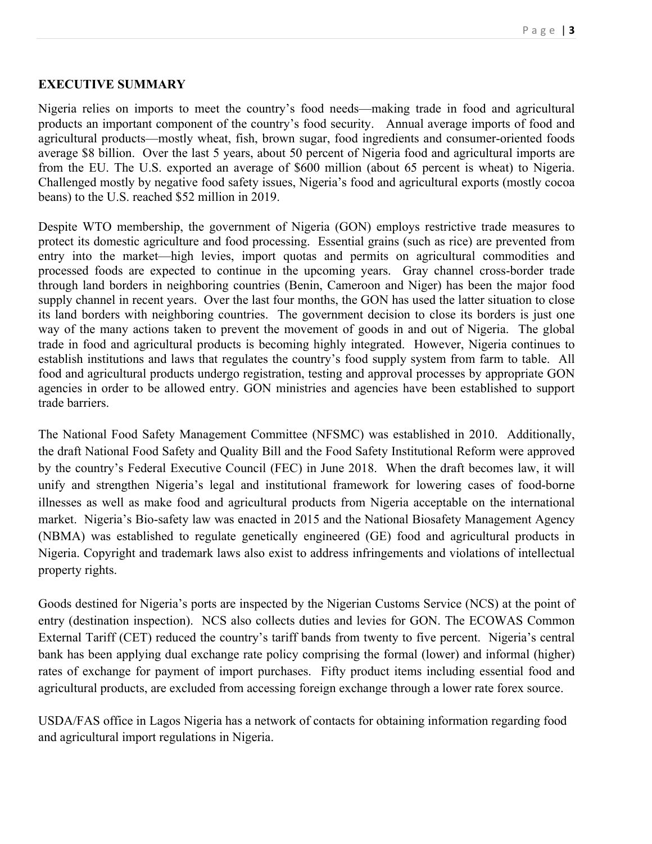#### **EXECUTIVE SUMMARY**

Nigeria relies on imports to meet the country's food needs—making trade in food and agricultural products an important component of the country's food security. Annual average imports of food and agricultural products—mostly wheat, fish, brown sugar, food ingredients and consumer-oriented foods average \$8 billion. Over the last 5 years, about 50 percent of Nigeria food and agricultural imports are from the EU. The U.S. exported an average of \$600 million (about 65 percent is wheat) to Nigeria. Challenged mostly by negative food safety issues, Nigeria's food and agricultural exports (mostly cocoa beans) to the U.S. reached \$52 million in 2019.

Despite WTO membership, the government of Nigeria (GON) employs restrictive trade measures to protect its domestic agriculture and food processing. Essential grains (such as rice) are prevented from entry into the market—high levies, import quotas and permits on agricultural commodities and processed foods are expected to continue in the upcoming years. Gray channel cross-border trade through land borders in neighboring countries (Benin, Cameroon and Niger) has been the major food supply channel in recent years. Over the last four months, the GON has used the latter situation to close its land borders with neighboring countries. The government decision to close its borders is just one way of the many actions taken to prevent the movement of goods in and out of Nigeria. The global trade in food and agricultural products is becoming highly integrated. However, Nigeria continues to establish institutions and laws that regulates the country's food supply system from farm to table. All food and agricultural products undergo registration, testing and approval processes by appropriate GON agencies in order to be allowed entry. GON ministries and agencies have been established to support trade barriers.

The National Food Safety Management Committee (NFSMC) was established in 2010. Additionally, the draft National Food Safety and Quality Bill and the Food Safety Institutional Reform were approved by the country's Federal Executive Council (FEC) in June 2018. When the draft becomes law, it will unify and strengthen Nigeria's legal and institutional framework for lowering cases of food-borne illnesses as well as make food and agricultural products from Nigeria acceptable on the international market. Nigeria's Bio-safety law was enacted in 2015 and the National Biosafety Management Agency (NBMA) was established to regulate genetically engineered (GE) food and agricultural products in Nigeria. Copyright and trademark laws also exist to address infringements and violations of intellectual property rights.

Goods destined for Nigeria's ports are inspected by the Nigerian Customs Service (NCS) at the point of entry (destination inspection). NCS also collects duties and levies for GON. The ECOWAS Common External Tariff (CET) reduced the country's tariff bands from twenty to five percent. Nigeria's central bank has been applying dual exchange rate policy comprising the formal (lower) and informal (higher) rates of exchange for payment of import purchases. Fifty product items including essential food and agricultural products, are excluded from accessing foreign exchange through a lower rate forex source.

USDA/FAS office in Lagos Nigeria has a network of contacts for obtaining information regarding food and agricultural import regulations in Nigeria.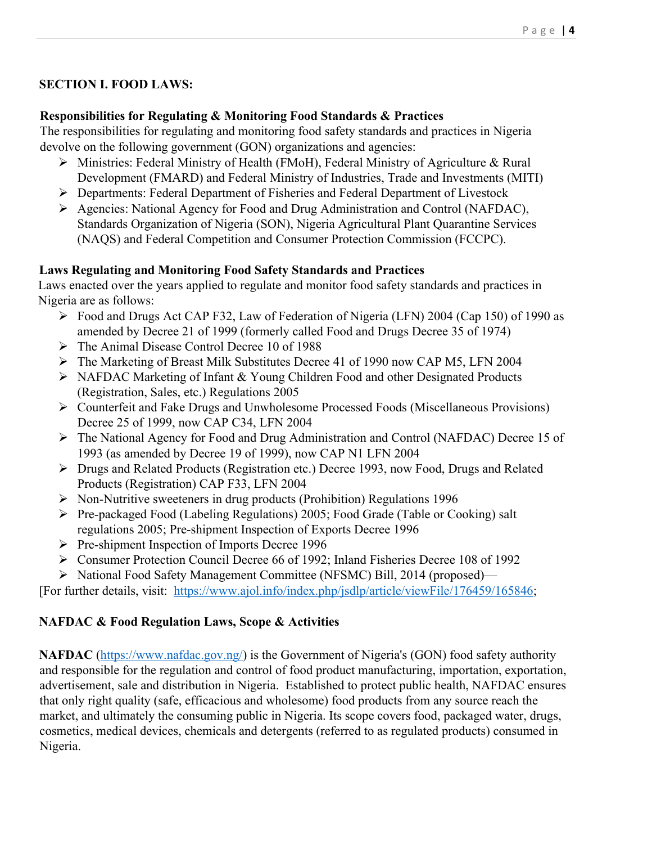### **SECTION I. FOOD LAWS:**

### **Responsibilities for Regulating & Monitoring Food Standards & Practices**

The responsibilities for regulating and monitoring food safety standards and practices in Nigeria devolve on the following government (GON) organizations and agencies:

- Ministries: Federal Ministry of Health (FMoH), Federal Ministry of Agriculture & Rural Development (FMARD) and Federal Ministry of Industries, Trade and Investments (MITI)
- Departments: Federal Department of Fisheries and Federal Department of Livestock
- Agencies: National Agency for Food and Drug Administration and Control (NAFDAC), Standards Organization of Nigeria (SON), Nigeria Agricultural Plant Quarantine Services (NAQS) and Federal Competition and Consumer Protection Commission (FCCPC).

### **Laws Regulating and Monitoring Food Safety Standards and Practices**

Laws enacted over the years applied to regulate and monitor food safety standards and practices in Nigeria are as follows:

- Food and Drugs Act CAP F32, Law of Federation of Nigeria (LFN) 2004 (Cap 150) of 1990 as amended by Decree 21 of 1999 (formerly called Food and Drugs Decree 35 of 1974)
- The Animal Disease Control Decree 10 of 1988
- The Marketing of Breast Milk Substitutes Decree 41 of 1990 now CAP M5, LFN 2004
- NAFDAC Marketing of Infant & Young Children Food and other Designated Products (Registration, Sales, etc.) Regulations 2005
- Counterfeit and Fake Drugs and Unwholesome Processed Foods (Miscellaneous Provisions) Decree 25 of 1999, now CAP C34, LFN 2004
- The National Agency for Food and Drug Administration and Control (NAFDAC) Decree 15 of 1993 (as amended by Decree 19 of 1999), now CAP N1 LFN 2004
- Drugs and Related Products (Registration etc.) Decree 1993, now Food, Drugs and Related Products (Registration) CAP F33, LFN 2004
- $\triangleright$  Non-Nutritive sweeteners in drug products (Prohibition) Regulations 1996
- Pre-packaged Food (Labeling Regulations) 2005; Food Grade (Table or Cooking) salt regulations 2005; Pre-shipment Inspection of Exports Decree 1996
- Pre-shipment Inspection of Imports Decree 1996
- Consumer Protection Council Decree 66 of 1992; Inland Fisheries Decree 108 of 1992
- ▶ National Food Safety Management Committee (NFSMC) Bill, 2014 (proposed)—

[For further details, visit: [https://www.ajol.info/index.php/jsdlp/article/viewFile/176459/165846;](https://www.ajol.info/index.php/jsdlp/article/viewFile/176459/165846)

### **NAFDAC & Food Regulation Laws, Scope & Activities**

**NAFDAC** [\(https://www.nafdac.gov.ng/](https://www.nafdac.gov.ng/)) is the Government of Nigeria's (GON) food safety authority and responsible for the regulation and control of food product manufacturing, importation, exportation, advertisement, sale and distribution in Nigeria. Established to protect public health, NAFDAC ensures that only right quality (safe, efficacious and wholesome) food products from any source reach the market, and ultimately the consuming public in Nigeria. Its scope covers food, packaged water, drugs, cosmetics, medical devices, chemicals and detergents (referred to as regulated products) consumed in Nigeria.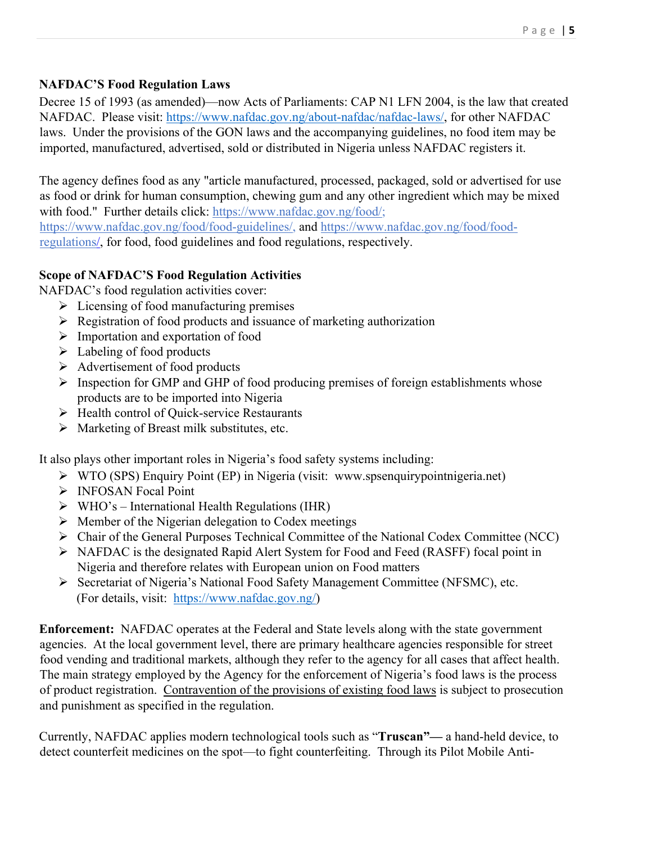### **NAFDAC'S Food Regulation Laws**

Decree 15 of 1993 (as amended)—now Acts of Parliaments: CAP N1 LFN 2004, is the law that created NAFDAC. Please visit:<https://www.nafdac.gov.ng/about-nafdac/nafdac-laws/>, for other NAFDAC laws. Under the provisions of the GON laws and the accompanying guidelines, no food item may be imported, manufactured, advertised, sold or distributed in Nigeria unless NAFDAC registers it.

The agency defines food as any "article manufactured, processed, packaged, sold or advertised for use as food or drink for human consumption, chewing gum and any other ingredient which may be mixed with food." Further details click: [https://www.nafdac.gov.ng/food/;](https://www.nafdac.gov.ng/food/)

[https://www.nafdac.gov.ng/food/food-guidelines/,](https://www.nafdac.gov.ng/food/food-guidelines/) and [https://www.nafdac.gov.ng/food/food](https://www.nafdac.gov.ng/food/food-regulations/)[regulations/,](https://www.nafdac.gov.ng/food/food-regulations/) for food, food guidelines and food regulations, respectively.

### **Scope of NAFDAC'S Food Regulation Activities**

NAFDAC's food regulation activities cover:

- $\triangleright$  Licensing of food manufacturing premises
- $\triangleright$  Registration of food products and issuance of marketing authorization
- $\triangleright$  Importation and exportation of food
- $\triangleright$  Labeling of food products
- $\triangleright$  Advertisement of food products
- $\triangleright$  Inspection for GMP and GHP of food producing premises of foreign establishments whose products are to be imported into Nigeria
- $\triangleright$  Health control of Quick-service Restaurants
- $\triangleright$  Marketing of Breast milk substitutes, etc.

It also plays other important roles in Nigeria's food safety systems including:

- WTO (SPS) Enquiry Point (EP) in Nigeria (visit: www.spsenquirypointnigeria.net)
- > INFOSAN Focal Point
- $\triangleright$  WHO's International Health Regulations (IHR)
- $\triangleright$  Member of the Nigerian delegation to Codex meetings
- Chair of the General Purposes Technical Committee of the National Codex Committee (NCC)
- NAFDAC is the designated Rapid Alert System for Food and Feed (RASFF) focal point in Nigeria and therefore relates with European union on Food matters
- Secretariat of Nigeria's National Food Safety Management Committee (NFSMC), etc. (For details, visit: [https://www.nafdac.gov.ng/\)](https://www.nafdac.gov.ng/)

**Enforcement:** NAFDAC operates at the Federal and State levels along with the state government agencies. At the local government level, there are primary healthcare agencies responsible for street food vending and traditional markets, although they refer to the agency for all cases that affect health. The main strategy employed by the Agency for the enforcement of Nigeria's food laws is the process of product registration. Contravention of the provisions of existing food laws is subject to prosecution and punishment as specified in the regulation.

Currently, NAFDAC applies modern technological tools such as "**Truscan"—** a hand-held device, to detect counterfeit medicines on the spot—to fight counterfeiting. Through its Pilot Mobile Anti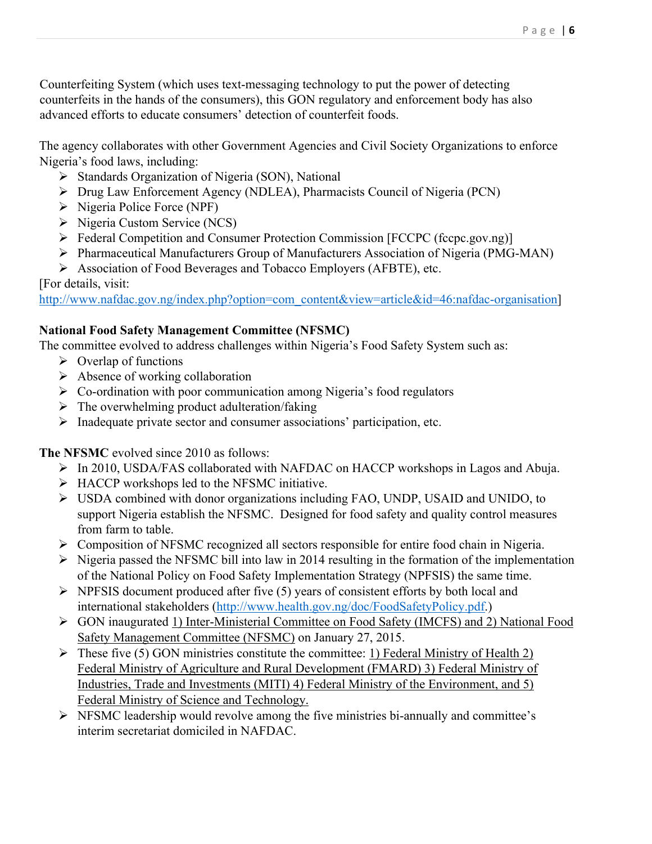Counterfeiting System (which uses text-messaging technology to put the power of detecting counterfeits in the hands of the consumers), this GON regulatory and enforcement body has also advanced efforts to educate consumers' detection of counterfeit foods.

The agency collaborates with other Government Agencies and Civil Society Organizations to enforce Nigeria's food laws, including:

- $\triangleright$  Standards Organization of Nigeria (SON), National
- Drug Law Enforcement Agency (NDLEA), Pharmacists Council of Nigeria (PCN)
- $\triangleright$  Nigeria Police Force (NPF)
- $\triangleright$  Nigeria Custom Service (NCS)
- Federal Competition and Consumer Protection Commission [FCCPC (fccpc.gov.ng)]
- Pharmaceutical Manufacturers Group of Manufacturers Association of Nigeria (PMG-MAN)
- Association of Food Beverages and Tobacco Employers (AFBTE), etc.

### [For details, visit:

[http://www.nafdac.gov.ng/index.php?option=com\\_content&view=article&id=46:nafdac-organisation\]](http://www.nafdac.gov.ng/index.php?option=com_content&view=article&id=46:nafdac-organisation)

### **National Food Safety Management Committee (NFSMC)**

The committee evolved to address challenges within Nigeria's Food Safety System such as:

- $\triangleright$  Overlap of functions
- $\triangleright$  Absence of working collaboration
- Co-ordination with poor communication among Nigeria's food regulators
- $\triangleright$  The overwhelming product adulteration/faking
- $\triangleright$  Inadequate private sector and consumer associations' participation, etc.

**The NFSMC** evolved since 2010 as follows:

- $\triangleright$  In 2010, USDA/FAS collaborated with NAFDAC on HACCP workshops in Lagos and Abuja.
- $\triangleright$  HACCP workshops led to the NFSMC initiative.
- USDA combined with donor organizations including FAO, UNDP, USAID and UNIDO, to support Nigeria establish the NFSMC. Designed for food safety and quality control measures from farm to table.
- Composition of NFSMC recognized all sectors responsible for entire food chain in Nigeria.
- $\triangleright$  Nigeria passed the NFSMC bill into law in 2014 resulting in the formation of the implementation of the National Policy on Food Safety Implementation Strategy (NPFSIS) the same time.
- $\triangleright$  NPFSIS document produced after five (5) years of consistent efforts by both local and international stakeholders [\(http://www.health.gov.ng/doc/FoodSafetyPolicy.pdf](http://www.health.gov.ng/doc/FoodSafetyPolicy.pdf).)
- GON inaugurated 1) Inter-Ministerial Committee on Food Safety (IMCFS) and 2) National Food Safety Management Committee (NFSMC) on January 27, 2015.
- $\triangleright$  These five (5) GON ministries constitute the committee: 1) Federal Ministry of Health 2) Federal Ministry of Agriculture and Rural Development (FMARD) 3) Federal Ministry of Industries, Trade and Investments (MITI) 4) Federal Ministry of the Environment, and 5) Federal Ministry of Science and Technology.
- $\triangleright$  NFSMC leadership would revolve among the five ministries bi-annually and committee's interim secretariat domiciled in NAFDAC.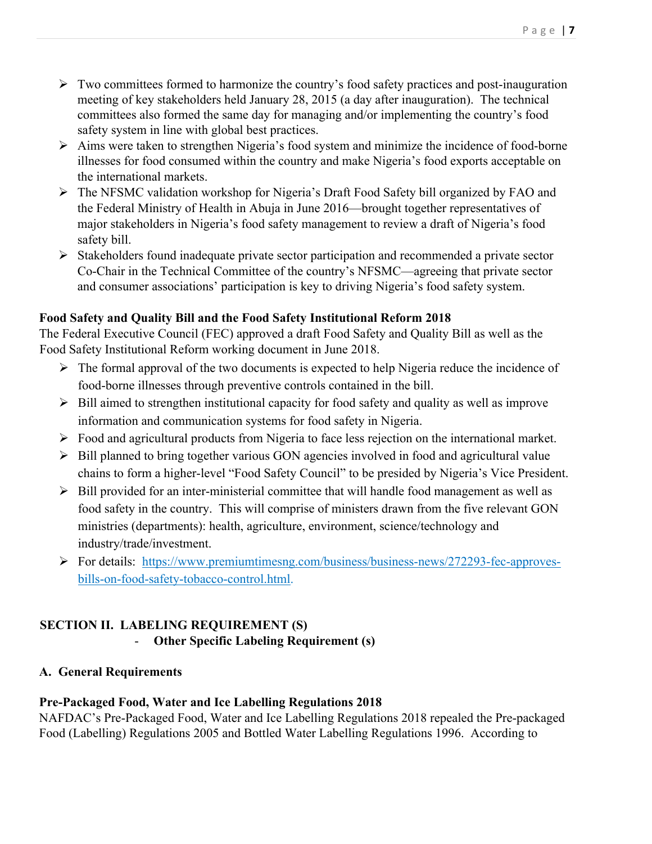- $\triangleright$  Two committees formed to harmonize the country's food safety practices and post-inauguration meeting of key stakeholders held January 28, 2015 (a day after inauguration). The technical committees also formed the same day for managing and/or implementing the country's food safety system in line with global best practices.
- $\triangleright$  Aims were taken to strengthen Nigeria's food system and minimize the incidence of food-borne illnesses for food consumed within the country and make Nigeria's food exports acceptable on the international markets.
- The NFSMC validation workshop for Nigeria's Draft Food Safety bill organized by FAO and the Federal Ministry of Health in Abuja in June 2016—brought together representatives of major stakeholders in Nigeria's food safety management to review a draft of Nigeria's food safety bill.
- $\triangleright$  Stakeholders found inadequate private sector participation and recommended a private sector Co-Chair in the Technical Committee of the country's NFSMC—agreeing that private sector and consumer associations' participation is key to driving Nigeria's food safety system.

### **Food Safety and Quality Bill and the Food Safety Institutional Reform 2018**

The Federal Executive Council (FEC) approved a draft Food Safety and Quality Bill as well as the Food Safety Institutional Reform working document in June 2018.

- $\triangleright$  The formal approval of the two documents is expected to help Nigeria reduce the incidence of food-borne illnesses through preventive controls contained in the bill.
- $\triangleright$  Bill aimed to strengthen institutional capacity for food safety and quality as well as improve information and communication systems for food safety in Nigeria.
- $\triangleright$  Food and agricultural products from Nigeria to face less rejection on the international market.
- $\triangleright$  Bill planned to bring together various GON agencies involved in food and agricultural value chains to form a higher-level "Food Safety Council" to be presided by Nigeria's Vice President.
- $\triangleright$  Bill provided for an inter-ministerial committee that will handle food management as well as food safety in the country. This will comprise of ministers drawn from the five relevant GON ministries (departments): health, agriculture, environment, science/technology and industry/trade/investment.
- For details: [https://www.premiumtimesng.com/business/business-news/272293-fec-approves](https://www.premiumtimesng.com/business/business-news/272293-fec-approves-bills-on-food-safety-tobacco-control.html)[bills-on-food-safety-tobacco-control.html.](https://www.premiumtimesng.com/business/business-news/272293-fec-approves-bills-on-food-safety-tobacco-control.html)

### **SECTION II. LABELING REQUIREMENT (S)** - **Other Specific Labeling Requirement (s)**

### **A. General Requirements**

# **Pre-Packaged Food, Water and Ice Labelling Regulations 2018**

NAFDAC's Pre-Packaged Food, Water and Ice Labelling Regulations 2018 repealed the Pre-packaged Food (Labelling) Regulations 2005 and Bottled Water Labelling Regulations 1996. According to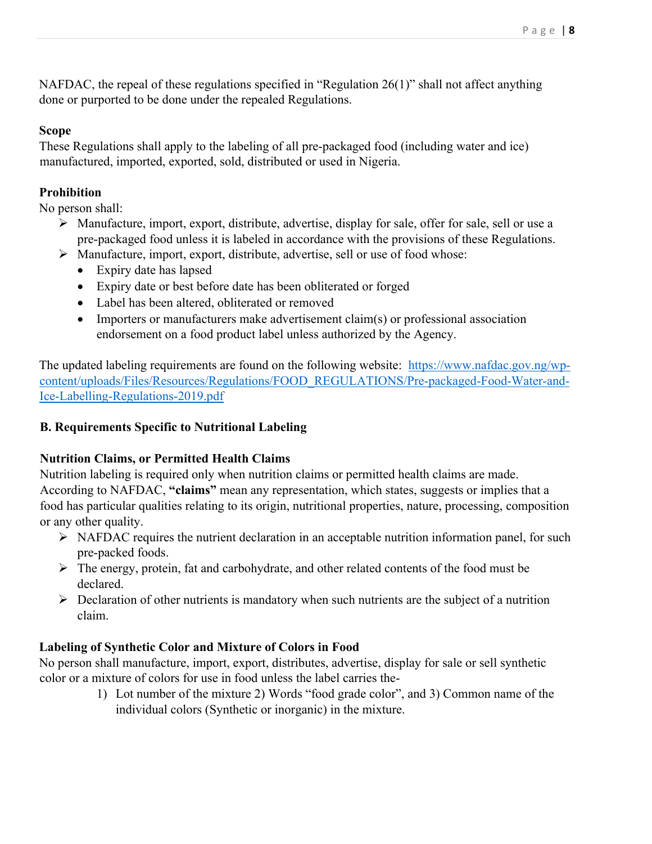NAFDAC, the repeal of these regulations specified in "Regulation 26(1)" shall not affect anything done or purported to be done under the repealed Regulations.

### **Scope**

These Regulations shall apply to the labeling of all pre-packaged food (including water and ice) manufactured, imported, exported, sold, distributed or used in Nigeria.

# **Prohibition**

No person shall:

- $\triangleright$  Manufacture, import, export, distribute, advertise, display for sale, offer for sale, sell or use a pre-packaged food unless it is labeled in accordance with the provisions of these Regulations.
- Manufacture, import, export, distribute, advertise, sell or use of food whose:
	- Expiry date has lapsed
	- Expiry date or best before date has been obliterated or forged
	- Label has been altered, obliterated or removed
	- Importers or manufacturers make advertisement claim(s) or professional association endorsement on a food product label unless authorized by the Agency.

The updated labeling requirements are found on the following website: [https://www.nafdac.gov.ng/wp](https://www.nafdac.gov.ng/wp-content/uploads/Files/Resources/Regulations/FOOD_REGULATIONS/Pre-packaged-Food-Water-and-Ice-Labelling-Regulations-2019.pdf)[content/uploads/Files/Resources/Regulations/FOOD\\_REGULATIONS/Pre-packaged-Food-Water-and-](https://www.nafdac.gov.ng/wp-content/uploads/Files/Resources/Regulations/FOOD_REGULATIONS/Pre-packaged-Food-Water-and-Ice-Labelling-Regulations-2019.pdf)[Ice-Labelling-Regulations-2019.pdf](https://www.nafdac.gov.ng/wp-content/uploads/Files/Resources/Regulations/FOOD_REGULATIONS/Pre-packaged-Food-Water-and-Ice-Labelling-Regulations-2019.pdf)

# **B. Requirements Specific to Nutritional Labeling**

# **Nutrition Claims, or Permitted Health Claims**

Nutrition labeling is required only when nutrition claims or permitted health claims are made. According to NAFDAC, **"claims"** mean any representation, which states, suggests or implies that a food has particular qualities relating to its origin, nutritional properties, nature, processing, composition or any other quality.

- $\triangleright$  NAFDAC requires the nutrient declaration in an acceptable nutrition information panel, for such pre-packed foods.
- $\triangleright$  The energy, protein, fat and carbohydrate, and other related contents of the food must be declared.
- $\triangleright$  Declaration of other nutrients is mandatory when such nutrients are the subject of a nutrition claim.

# **Labeling of Synthetic Color and Mixture of Colors in Food**

No person shall manufacture, import, export, distributes, advertise, display for sale or sell synthetic color or a mixture of colors for use in food unless the label carries the-

1) Lot number of the mixture 2) Words "food grade color", and 3) Common name of the individual colors (Synthetic or inorganic) in the mixture.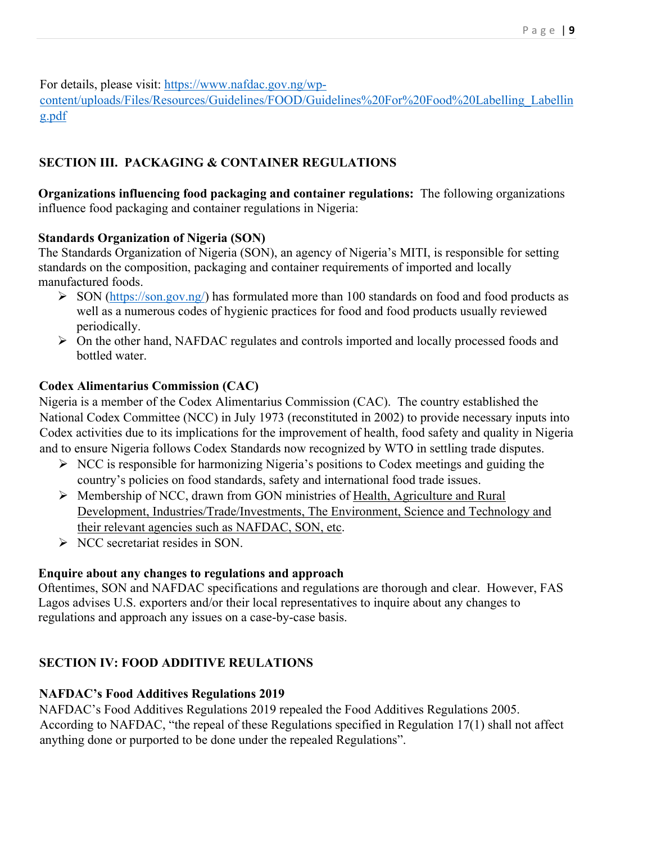For details, please visit: [https://www.nafdac.gov.ng/wp-](https://www.nafdac.gov.ng/wp-content/uploads/Files/Resources/Guidelines/FOOD/Guidelines%20For%20Food%20Labelling_Labelling.pdf)

[content/uploads/Files/Resources/Guidelines/FOOD/Guidelines%20For%20Food%20Labelling\\_Labellin](https://www.nafdac.gov.ng/wp-content/uploads/Files/Resources/Guidelines/FOOD/Guidelines%20For%20Food%20Labelling_Labelling.pdf) [g.pdf](https://www.nafdac.gov.ng/wp-content/uploads/Files/Resources/Guidelines/FOOD/Guidelines%20For%20Food%20Labelling_Labelling.pdf)

# **SECTION III. PACKAGING & CONTAINER REGULATIONS**

**Organizations influencing food packaging and container regulations:** The following organizations influence food packaging and container regulations in Nigeria:

### **Standards Organization of Nigeria (SON)**

The Standards Organization of Nigeria (SON), an agency of Nigeria's MITI, is responsible for setting standards on the composition, packaging and container requirements of imported and locally manufactured foods.

- $\triangleright$  SON (<https://son.gov.ng/>) has formulated more than 100 standards on food and food products as well as a numerous codes of hygienic practices for food and food products usually reviewed periodically.
- On the other hand, NAFDAC regulates and controls imported and locally processed foods and bottled water.

### **Codex Alimentarius Commission (CAC)**

Nigeria is a member of the Codex Alimentarius Commission (CAC). The country established the National Codex Committee (NCC) in July 1973 (reconstituted in 2002) to provide necessary inputs into Codex activities due to its implications for the improvement of health, food safety and quality in Nigeria and to ensure Nigeria follows Codex Standards now recognized by WTO in settling trade disputes.

- $\triangleright$  NCC is responsible for harmonizing Nigeria's positions to Codex meetings and guiding the country's policies on food standards, safety and international food trade issues.
- Membership of NCC, drawn from GON ministries of Health, Agriculture and Rural Development, Industries/Trade/Investments, The Environment, Science and Technology and their relevant agencies such as NAFDAC, SON, etc.
- $\triangleright$  NCC secretariat resides in SON.

#### **Enquire about any changes to regulations and approach**

Oftentimes, SON and NAFDAC specifications and regulations are thorough and clear. However, FAS Lagos advises U.S. exporters and/or their local representatives to inquire about any changes to regulations and approach any issues on a case-by-case basis.

### **SECTION IV: FOOD ADDITIVE REULATIONS**

### **NAFDAC's Food Additives Regulations 2019**

NAFDAC's Food Additives Regulations 2019 repealed the Food Additives Regulations 2005. According to NAFDAC, "the repeal of these Regulations specified in Regulation 17(1) shall not affect anything done or purported to be done under the repealed Regulations".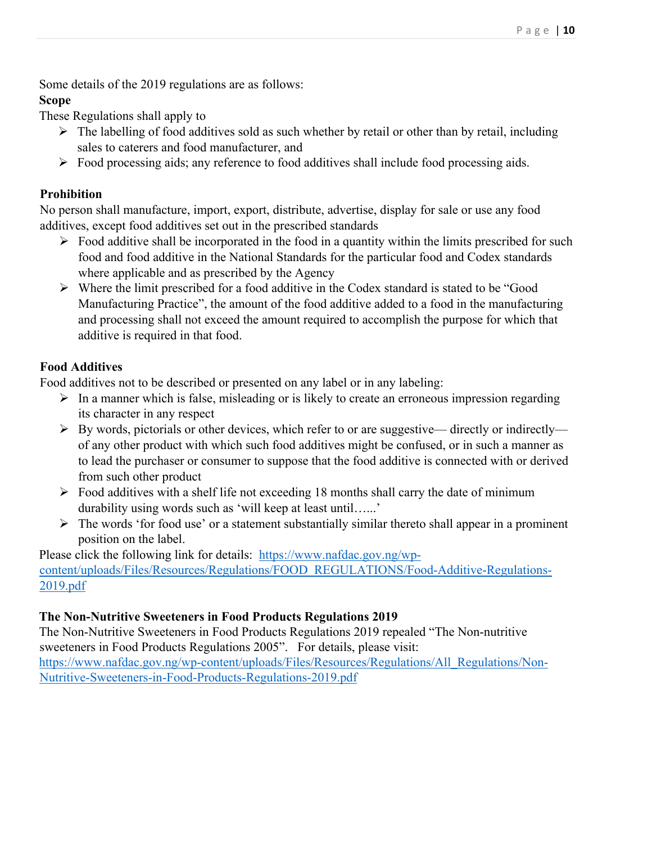Some details of the 2019 regulations are as follows:

### **Scope**

These Regulations shall apply to

- $\triangleright$  The labelling of food additives sold as such whether by retail or other than by retail, including sales to caterers and food manufacturer, and
- $\triangleright$  Food processing aids; any reference to food additives shall include food processing aids.

# **Prohibition**

No person shall manufacture, import, export, distribute, advertise, display for sale or use any food additives, except food additives set out in the prescribed standards

- $\triangleright$  Food additive shall be incorporated in the food in a quantity within the limits prescribed for such food and food additive in the National Standards for the particular food and Codex standards where applicable and as prescribed by the Agency
- Where the limit prescribed for a food additive in the Codex standard is stated to be "Good Manufacturing Practice", the amount of the food additive added to a food in the manufacturing and processing shall not exceed the amount required to accomplish the purpose for which that additive is required in that food.

### **Food Additives**

Food additives not to be described or presented on any label or in any labeling:

- $\triangleright$  In a manner which is false, misleading or is likely to create an erroneous impression regarding its character in any respect
- $\triangleright$  By words, pictorials or other devices, which refer to or are suggestive— directly or indirectly of any other product with which such food additives might be confused, or in such a manner as to lead the purchaser or consumer to suppose that the food additive is connected with or derived from such other product
- $\triangleright$  Food additives with a shelf life not exceeding 18 months shall carry the date of minimum durability using words such as 'will keep at least until…...'
- $\triangleright$  The words 'for food use' or a statement substantially similar thereto shall appear in a prominent position on the label.

Please click the following link for details: [https://www.nafdac.gov.ng/wp](https://www.nafdac.gov.ng/wp-content/uploads/Files/Resources/Regulations/FOOD_REGULATIONS/Food-Additive-Regulations-2019.pdf)[content/uploads/Files/Resources/Regulations/FOOD\\_REGULATIONS/Food-Additive-Regulations-](https://www.nafdac.gov.ng/wp-content/uploads/Files/Resources/Regulations/FOOD_REGULATIONS/Food-Additive-Regulations-2019.pdf)[2019.pdf](https://www.nafdac.gov.ng/wp-content/uploads/Files/Resources/Regulations/FOOD_REGULATIONS/Food-Additive-Regulations-2019.pdf)

# **The Non-Nutritive Sweeteners in Food Products Regulations 2019**

The Non-Nutritive Sweeteners in Food Products Regulations 2019 repealed "The Non-nutritive sweeteners in Food Products Regulations 2005". For details, please visit: [https://www.nafdac.gov.ng/wp-content/uploads/Files/Resources/Regulations/All\\_Regulations/Non-](https://www.nafdac.gov.ng/wp-content/uploads/Files/Resources/Regulations/All_Regulations/Non-Nutritive-Sweeteners-in-Food-Products-Regulations-2019.pdf)[Nutritive-Sweeteners-in-Food-Products-Regulations-2019.pdf](https://www.nafdac.gov.ng/wp-content/uploads/Files/Resources/Regulations/All_Regulations/Non-Nutritive-Sweeteners-in-Food-Products-Regulations-2019.pdf)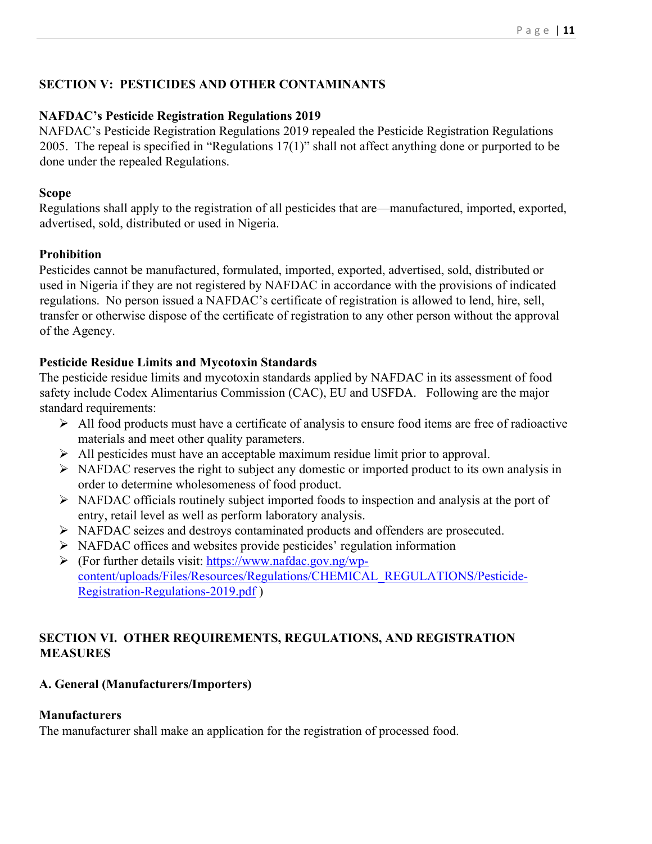### **SECTION V: PESTICIDES AND OTHER CONTAMINANTS**

#### **NAFDAC's Pesticide Registration Regulations 2019**

NAFDAC's Pesticide Registration Regulations 2019 repealed the Pesticide Registration Regulations 2005. The repeal is specified in "Regulations 17(1)" shall not affect anything done or purported to be done under the repealed Regulations.

#### **Scope**

Regulations shall apply to the registration of all pesticides that are—manufactured, imported, exported, advertised, sold, distributed or used in Nigeria.

#### **Prohibition**

Pesticides cannot be manufactured, formulated, imported, exported, advertised, sold, distributed or used in Nigeria if they are not registered by NAFDAC in accordance with the provisions of indicated regulations. No person issued a NAFDAC's certificate of registration is allowed to lend, hire, sell, transfer or otherwise dispose of the certificate of registration to any other person without the approval of the Agency.

### **Pesticide Residue Limits and Mycotoxin Standards**

The pesticide residue limits and mycotoxin standards applied by NAFDAC in its assessment of food safety include Codex Alimentarius Commission (CAC), EU and USFDA. Following are the major standard requirements:

- $\triangleright$  All food products must have a certificate of analysis to ensure food items are free of radioactive materials and meet other quality parameters.
- $\triangleright$  All pesticides must have an acceptable maximum residue limit prior to approval.
- $\triangleright$  NAFDAC reserves the right to subject any domestic or imported product to its own analysis in order to determine wholesomeness of food product.
- $\triangleright$  NAFDAC officials routinely subject imported foods to inspection and analysis at the port of entry, retail level as well as perform laboratory analysis.
- NAFDAC seizes and destroys contaminated products and offenders are prosecuted.
- $\triangleright$  NAFDAC offices and websites provide pesticides' regulation information
- $\triangleright$  (For further details visit: [https://www.nafdac.gov.ng/wp](https://www.nafdac.gov.ng/wp-content/uploads/Files/Resources/Regulations/CHEMICAL_REGULATIONS/Pesticide-Registration-Regulations-2019.pdf)[content/uploads/Files/Resources/Regulations/CHEMICAL\\_REGULATIONS/Pesticide-](https://www.nafdac.gov.ng/wp-content/uploads/Files/Resources/Regulations/CHEMICAL_REGULATIONS/Pesticide-Registration-Regulations-2019.pdf)[Registration-Regulations-2019.pdf](https://www.nafdac.gov.ng/wp-content/uploads/Files/Resources/Regulations/CHEMICAL_REGULATIONS/Pesticide-Registration-Regulations-2019.pdf) )

### **SECTION VI. OTHER REQUIREMENTS, REGULATIONS, AND REGISTRATION MEASURES**

### **A. General (Manufacturers/Importers)**

#### **Manufacturers**

The manufacturer shall make an application for the registration of processed food.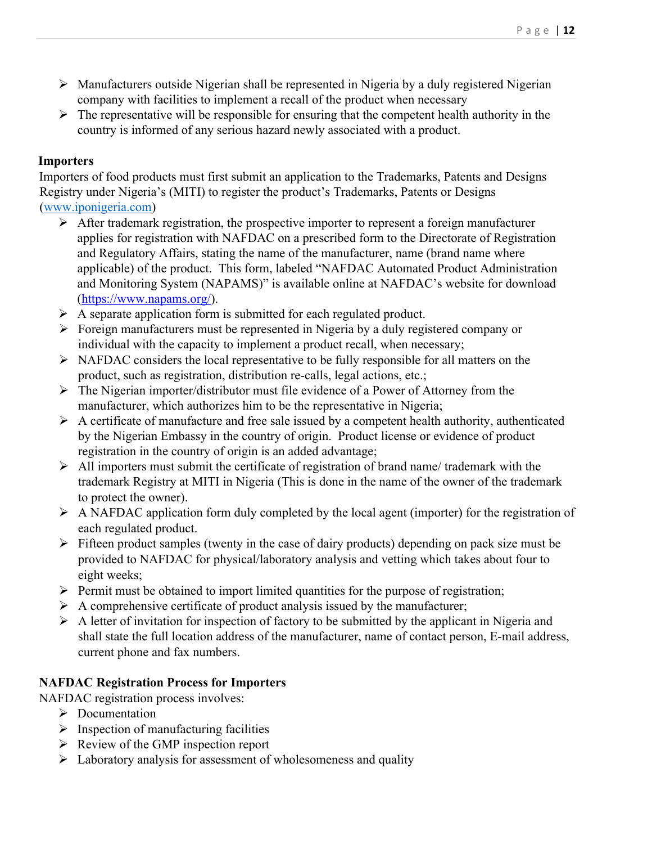- $\triangleright$  Manufacturers outside Nigerian shall be represented in Nigeria by a duly registered Nigerian company with facilities to implement a recall of the product when necessary
- $\triangleright$  The representative will be responsible for ensuring that the competent health authority in the country is informed of any serious hazard newly associated with a product.

### **Importers**

Importers of food products must first submit an application to the Trademarks, Patents and Designs Registry under Nigeria's (MITI) to register the product's Trademarks, Patents or Designs [\(www.iponigeria.com\)](http://www.iponigeria.com/)

- $\triangleright$  After trademark registration, the prospective importer to represent a foreign manufacturer applies for registration with NAFDAC on a prescribed form to the Directorate of Registration and Regulatory Affairs, stating the name of the manufacturer, name (brand name where applicable) of the product. This form, labeled "NAFDAC Automated Product Administration and Monitoring System (NAPAMS)" is available online at NAFDAC's website for download (<https://www.napams.org/>).
- $\triangleright$  A separate application form is submitted for each regulated product.
- Foreign manufacturers must be represented in Nigeria by a duly registered company or individual with the capacity to implement a product recall, when necessary;
- $\triangleright$  NAFDAC considers the local representative to be fully responsible for all matters on the product, such as registration, distribution re-calls, legal actions, etc.;
- $\triangleright$  The Nigerian importer/distributor must file evidence of a Power of Attorney from the manufacturer, which authorizes him to be the representative in Nigeria;
- $\triangleright$  A certificate of manufacture and free sale issued by a competent health authority, authenticated by the Nigerian Embassy in the country of origin. Product license or evidence of product registration in the country of origin is an added advantage;
- $\triangleright$  All importers must submit the certificate of registration of brand name/ trademark with the trademark Registry at MITI in Nigeria (This is done in the name of the owner of the trademark to protect the owner).
- $\triangleright$  A NAFDAC application form duly completed by the local agent (importer) for the registration of each regulated product.
- $\triangleright$  Fifteen product samples (twenty in the case of dairy products) depending on pack size must be provided to NAFDAC for physical/laboratory analysis and vetting which takes about four to eight weeks;
- $\triangleright$  Permit must be obtained to import limited quantities for the purpose of registration;
- $\triangleright$  A comprehensive certificate of product analysis issued by the manufacturer;
- $\triangleright$  A letter of invitation for inspection of factory to be submitted by the applicant in Nigeria and shall state the full location address of the manufacturer, name of contact person, E-mail address, current phone and fax numbers.

### **NAFDAC Registration Process for Importers**

NAFDAC registration process involves:

- $\triangleright$  Documentation
- $\triangleright$  Inspection of manufacturing facilities
- $\triangleright$  Review of the GMP inspection report
- $\triangleright$  Laboratory analysis for assessment of wholesomeness and quality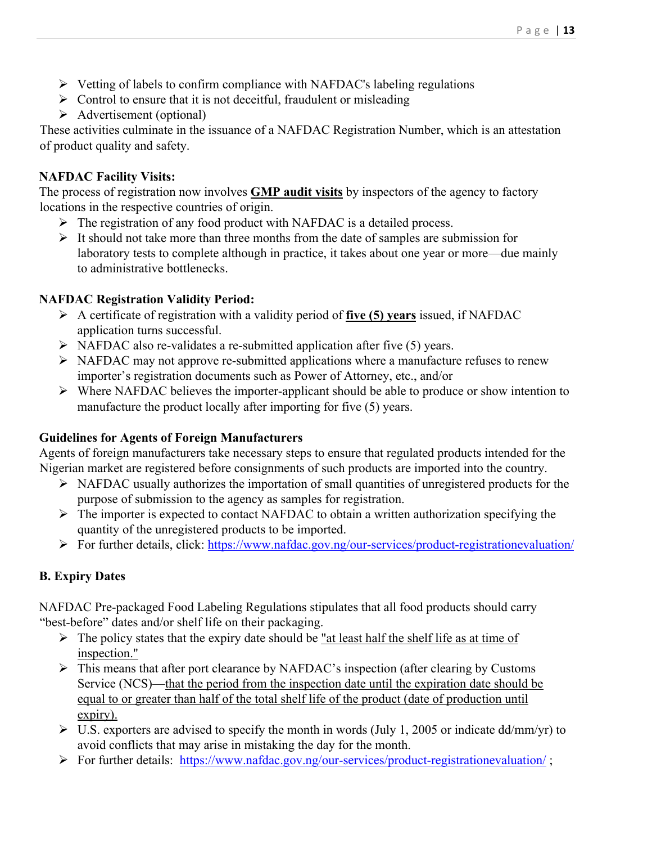- $\triangleright$  Vetting of labels to confirm compliance with NAFDAC's labeling regulations
- $\triangleright$  Control to ensure that it is not deceitful, fraudulent or misleading
- $\triangleright$  Advertisement (optional)

These activities culminate in the issuance of a NAFDAC Registration Number, which is an attestation of product quality and safety.

### **NAFDAC Facility Visits:**

The process of registration now involves **GMP audit visits** by inspectors of the agency to factory locations in the respective countries of origin.

- $\triangleright$  The registration of any food product with NAFDAC is a detailed process.
- $\triangleright$  It should not take more than three months from the date of samples are submission for laboratory tests to complete although in practice, it takes about one year or more—due mainly to administrative bottlenecks.

### **NAFDAC Registration Validity Period:**

- A certificate of registration with a validity period of **five (5) years** issued, if NAFDAC application turns successful.
- $\triangleright$  NAFDAC also re-validates a re-submitted application after five (5) years.
- $\triangleright$  NAFDAC may not approve re-submitted applications where a manufacture refuses to renew importer's registration documents such as Power of Attorney, etc., and/or
- $\triangleright$  Where NAFDAC believes the importer-applicant should be able to produce or show intention to manufacture the product locally after importing for five (5) years.

### **Guidelines for Agents of Foreign Manufacturers**

Agents of foreign manufacturers take necessary steps to ensure that regulated products intended for the Nigerian market are registered before consignments of such products are imported into the country.

- $\triangleright$  NAFDAC usually authorizes the importation of small quantities of unregistered products for the purpose of submission to the agency as samples for registration.
- $\triangleright$  The importer is expected to contact NAFDAC to obtain a written authorization specifying the quantity of the unregistered products to be imported.
- For further details, click:<https://www.nafdac.gov.ng/our-services/product-registrationevaluation/>

# **B. Expiry Dates**

NAFDAC Pre-packaged Food Labeling Regulations stipulates that all food products should carry "best-before" dates and/or shelf life on their packaging.

- $\triangleright$  The policy states that the expiry date should be "at least half the shelf life as at time of inspection."
- $\triangleright$  This means that after port clearance by NAFDAC's inspection (after clearing by Customs Service (NCS)—that the period from the inspection date until the expiration date should be equal to or greater than half of the total shelf life of the product (date of production until expiry).
- $\triangleright$  U.S. exporters are advised to specify the month in words (July 1, 2005 or indicate dd/mm/yr) to avoid conflicts that may arise in mistaking the day for the month.
- For further details: <https://www.nafdac.gov.ng/our-services/product-registrationevaluation/>;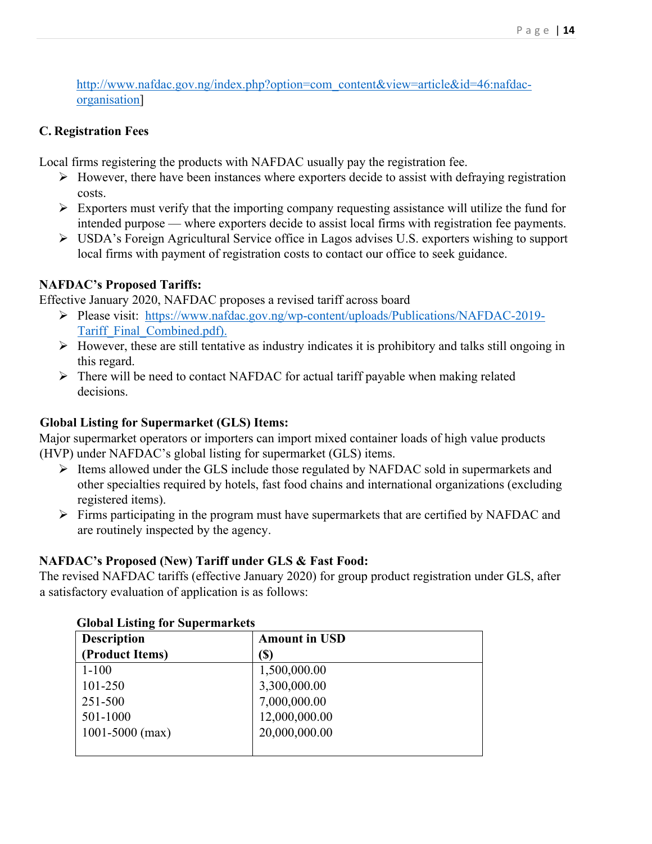[http://www.nafdac.gov.ng/index.php?option=com\\_content&view=article&id=46:nafdac](http://www.nafdac.gov.ng/index.php?option=com_content&view=article&id=46:nafdac-organisation)[organisation](http://www.nafdac.gov.ng/index.php?option=com_content&view=article&id=46:nafdac-organisation)]

#### **C. Registration Fees**

Local firms registering the products with NAFDAC usually pay the registration fee.

- $\triangleright$  However, there have been instances where exporters decide to assist with defraying registration costs.
- $\triangleright$  Exporters must verify that the importing company requesting assistance will utilize the fund for intended purpose — where exporters decide to assist local firms with registration fee payments.
- USDA's Foreign Agricultural Service office in Lagos advises U.S. exporters wishing to support local firms with payment of registration costs to contact our office to seek guidance.

### **NAFDAC's Proposed Tariffs:**

Effective January 2020, NAFDAC proposes a revised tariff across board

- Please visit: [https://www.nafdac.gov.ng/wp-content/uploads/Publications/NAFDAC-2019-](https://www.nafdac.gov.ng/wp-content/uploads/Publications/NAFDAC-2019-Tariff_Final_Combined.pdf) [Tariff\\_Final\\_Combined.pdf](https://www.nafdac.gov.ng/wp-content/uploads/Publications/NAFDAC-2019-Tariff_Final_Combined.pdf)).
- $\triangleright$  However, these are still tentative as industry indicates it is prohibitory and talks still ongoing in this regard.
- $\triangleright$  There will be need to contact NAFDAC for actual tariff payable when making related decisions.

#### **Global Listing for Supermarket (GLS) Items:**

Major supermarket operators or importers can import mixed container loads of high value products (HVP) under NAFDAC's global listing for supermarket (GLS) items.

- $\triangleright$  Items allowed under the GLS include those regulated by NAFDAC sold in supermarkets and other specialties required by hotels, fast food chains and international organizations (excluding registered items).
- $\triangleright$  Firms participating in the program must have supermarkets that are certified by NAFDAC and are routinely inspected by the agency.

#### **NAFDAC's Proposed (New) Tariff under GLS & Fast Food:**

The revised NAFDAC tariffs (effective January 2020) for group product registration under GLS, after a satisfactory evaluation of application is as follows:

| <b>Description</b>  | <b>Amount in USD</b> |  |  |  |  |  |
|---------------------|----------------------|--|--|--|--|--|
| (Product Items)     | (S)                  |  |  |  |  |  |
| $1 - 100$           | 1,500,000.00         |  |  |  |  |  |
| 101-250             | 3,300,000.00         |  |  |  |  |  |
| 251-500             | 7,000,000.00         |  |  |  |  |  |
| 501-1000            | 12,000,000.00        |  |  |  |  |  |
| $1001 - 5000$ (max) | 20,000,000.00        |  |  |  |  |  |
|                     |                      |  |  |  |  |  |

#### **Global Listing for Supermarkets**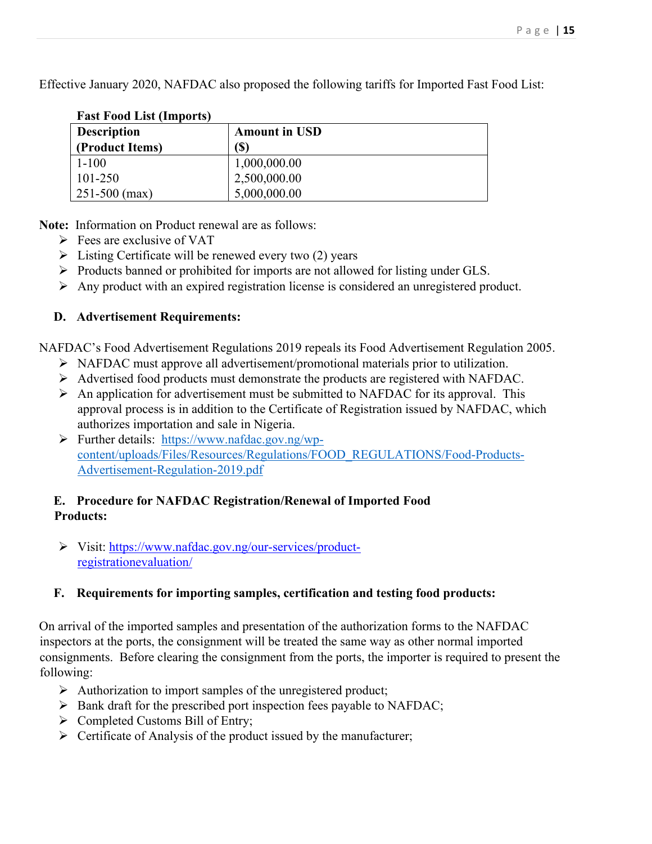Effective January 2020, NAFDAC also proposed the following tariffs for Imported Fast Food List:

| <b>Fast Food List (Imports)</b> |                      |  |  |  |  |
|---------------------------------|----------------------|--|--|--|--|
| <b>Description</b>              | <b>Amount in USD</b> |  |  |  |  |
| (Product Items)                 | (S)                  |  |  |  |  |
| $1 - 100$                       | 1,000,000.00         |  |  |  |  |
| 101-250                         | 2,500,000.00         |  |  |  |  |
| $251-500$ (max)                 | 5,000,000.00         |  |  |  |  |

- **Note:** Information on Product renewal are as follows:
	- $\triangleright$  Fees are exclusive of VAT
	- $\triangleright$  Listing Certificate will be renewed every two (2) years
	- $\triangleright$  Products banned or prohibited for imports are not allowed for listing under GLS.
	- Any product with an expired registration license is considered an unregistered product.

### **D. Advertisement Requirements:**

NAFDAC's Food Advertisement Regulations 2019 repeals its Food Advertisement Regulation 2005.

- NAFDAC must approve all advertisement/promotional materials prior to utilization.
- Advertised food products must demonstrate the products are registered with NAFDAC.
- $\triangleright$  An application for advertisement must be submitted to NAFDAC for its approval. This approval process is in addition to the Certificate of Registration issued by NAFDAC, which authorizes importation and sale in Nigeria.
- Further details: [https://www.nafdac.gov.ng/wp](https://www.nafdac.gov.ng/wp-content/uploads/Files/Resources/Regulations/FOOD_REGULATIONS/Food-Products-Advertisement-Regulation-2019.pdf)[content/uploads/Files/Resources/Regulations/FOOD\\_REGULATIONS/Food-Products-](https://www.nafdac.gov.ng/wp-content/uploads/Files/Resources/Regulations/FOOD_REGULATIONS/Food-Products-Advertisement-Regulation-2019.pdf)[Advertisement-Regulation-2019.pdf](https://www.nafdac.gov.ng/wp-content/uploads/Files/Resources/Regulations/FOOD_REGULATIONS/Food-Products-Advertisement-Regulation-2019.pdf)

### **E. Procedure for NAFDAC Registration/Renewal of Imported Food Products:**

 Visit: [https://www.nafdac.gov.ng/our-services/product](https://www.nafdac.gov.ng/our-services/product-registrationevaluation/)[registrationevaluation/](https://www.nafdac.gov.ng/our-services/product-registrationevaluation/)

### **F. Requirements for importing samples, certification and testing food products:**

On arrival of the imported samples and presentation of the authorization forms to the NAFDAC inspectors at the ports, the consignment will be treated the same way as other normal imported consignments. Before clearing the consignment from the ports, the importer is required to present the following:

- $\triangleright$  Authorization to import samples of the unregistered product;
- $\triangleright$  Bank draft for the prescribed port inspection fees payable to NAFDAC;
- $\triangleright$  Completed Customs Bill of Entry;
- $\triangleright$  Certificate of Analysis of the product issued by the manufacturer;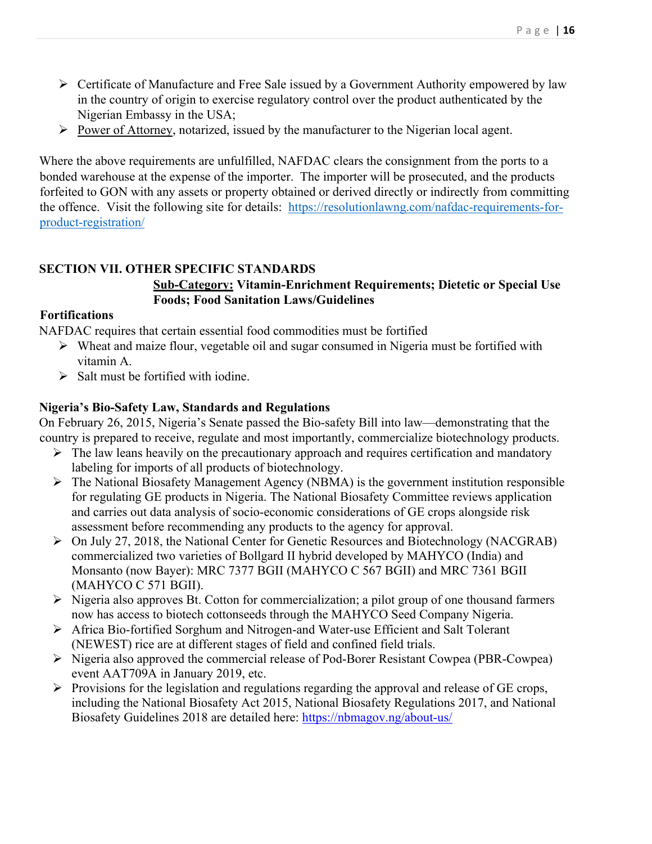- $\triangleright$  Certificate of Manufacture and Free Sale issued by a Government Authority empowered by law in the country of origin to exercise regulatory control over the product authenticated by the Nigerian Embassy in the USA;
- $\triangleright$  Power of Attorney, notarized, issued by the manufacturer to the Nigerian local agent.

Where the above requirements are unfulfilled, NAFDAC clears the consignment from the ports to a bonded warehouse at the expense of the importer. The importer will be prosecuted, and the products forfeited to GON with any assets or property obtained or derived directly or indirectly from committing the offence. Visit the following site for details: [https://resolutionlawng.com/nafdac-requirements-for](https://resolutionlawng.com/nafdac-requirements-for-product-registration/)[product-registration/](https://resolutionlawng.com/nafdac-requirements-for-product-registration/)

#### **SECTION VII. OTHER SPECIFIC STANDARDS**

#### **Sub-Category: Vitamin-Enrichment Requirements; Dietetic or Special Use Foods; Food Sanitation Laws/Guidelines**

#### **Fortifications**

NAFDAC requires that certain essential food commodities must be fortified

- $\triangleright$  Wheat and maize flour, vegetable oil and sugar consumed in Nigeria must be fortified with vitamin A.
- $\triangleright$  Salt must be fortified with iodine.

#### **Nigeria's Bio-Safety Law, Standards and Regulations**

On February 26, 2015, Nigeria's Senate passed the Bio-safety Bill into law—demonstrating that the country is prepared to receive, regulate and most importantly, commercialize biotechnology products.

- $\triangleright$  The law leans heavily on the precautionary approach and requires certification and mandatory labeling for imports of all products of biotechnology.
- $\triangleright$  The National Biosafety Management Agency (NBMA) is the government institution responsible for regulating GE products in Nigeria. The National Biosafety Committee reviews application and carries out data analysis of socio-economic considerations of GE crops alongside risk assessment before recommending any products to the agency for approval.
- On July 27, 2018, the National Center for Genetic Resources and Biotechnology (NACGRAB) commercialized two varieties of Bollgard II hybrid developed by MAHYCO (India) and Monsanto (now Bayer): MRC 7377 BGII (MAHYCO C 567 BGII) and MRC 7361 BGII (MAHYCO C 571 BGII).
- $\triangleright$  Nigeria also approves Bt. Cotton for commercialization; a pilot group of one thousand farmers now has access to biotech cottonseeds through the MAHYCO Seed Company Nigeria.
- Africa Bio-fortified Sorghum and Nitrogen-and Water-use Efficient and Salt Tolerant (NEWEST) rice are at different stages of field and confined field trials.
- $\triangleright$  Nigeria also approved the commercial release of Pod-Borer Resistant Cowpea (PBR-Cowpea) event AAT709A in January 2019, etc.
- $\triangleright$  Provisions for the legislation and regulations regarding the approval and release of GE crops, including the National Biosafety Act 2015, National Biosafety Regulations 2017, and National Biosafety Guidelines 2018 are detailed here: <https://nbmagov.ng/about-us/>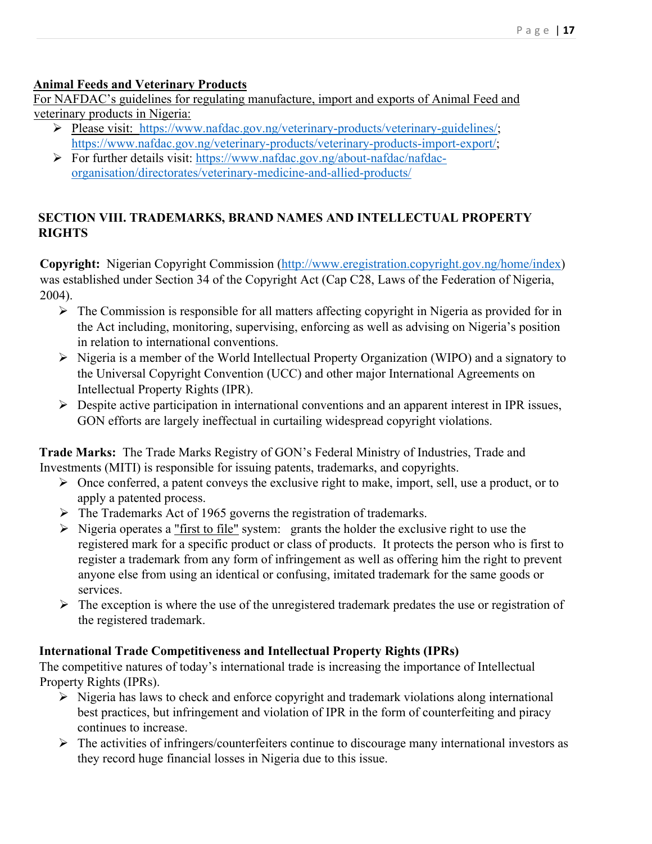#### **Animal Feeds and Veterinary Products**

For NAFDAC's guidelines for regulating manufacture, import and exports of Animal Feed and veterinary products in Nigeria:

- Please visit: <https://www.nafdac.gov.ng/veterinary-products/veterinary-guidelines/>; <https://www.nafdac.gov.ng/veterinary-products/veterinary-products-import-export/>;
- For further details visit: [https://www.nafdac.gov.ng/about-nafdac/nafdac](https://www.nafdac.gov.ng/about-nafdac/nafdac-organisation/directorates/veterinary-medicine-and-allied-products/)[organisation/directorates/veterinary-medicine-and-allied-products/](https://www.nafdac.gov.ng/about-nafdac/nafdac-organisation/directorates/veterinary-medicine-and-allied-products/)

### **SECTION VIII. TRADEMARKS, BRAND NAMES AND INTELLECTUAL PROPERTY RIGHTS**

**Copyright:** Nigerian Copyright Commission [\(http://www.eregistration.copyright.gov.ng/home/index](http://www.eregistration.copyright.gov.ng/home/index)) was established under Section 34 of the Copyright Act (Cap C28, Laws of the Federation of Nigeria, 2004).

- $\triangleright$  The Commission is responsible for all matters affecting copyright in Nigeria as provided for in the Act including, monitoring, supervising, enforcing as well as advising on Nigeria's position in relation to international conventions.
- $\triangleright$  Nigeria is a member of the World Intellectual Property Organization (WIPO) and a signatory to the Universal Copyright Convention (UCC) and other major International Agreements on Intellectual Property Rights (IPR).
- $\triangleright$  Despite active participation in international conventions and an apparent interest in IPR issues, GON efforts are largely ineffectual in curtailing widespread copyright violations.

**Trade Marks:** The Trade Marks Registry of GON's Federal Ministry of Industries, Trade and Investments (MITI) is responsible for issuing patents, trademarks, and copyrights.

- $\triangleright$  Once conferred, a patent conveys the exclusive right to make, import, sell, use a product, or to apply a patented process.
- $\triangleright$  The Trademarks Act of 1965 governs the registration of trademarks.
- $\triangleright$  Nigeria operates a "first to file" system: grants the holder the exclusive right to use the registered mark for a specific product or class of products. It protects the person who is first to register a trademark from any form of infringement as well as offering him the right to prevent anyone else from using an identical or confusing, imitated trademark for the same goods or services.
- $\triangleright$  The exception is where the use of the unregistered trademark predates the use or registration of the registered trademark.

#### **International Trade Competitiveness and Intellectual Property Rights (IPRs)**

The competitive natures of today's international trade is increasing the importance of Intellectual Property Rights (IPRs).

- $\triangleright$  Nigeria has laws to check and enforce copyright and trademark violations along international best practices, but infringement and violation of IPR in the form of counterfeiting and piracy continues to increase.
- $\triangleright$  The activities of infringers/counterfeiters continue to discourage many international investors as they record huge financial losses in Nigeria due to this issue.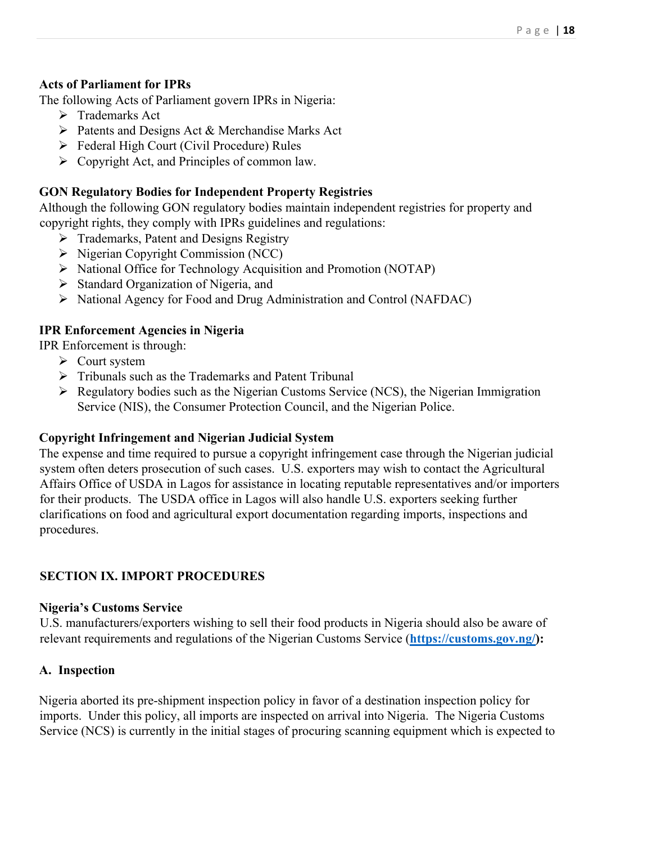#### **Acts of Parliament for IPRs**

The following Acts of Parliament govern IPRs in Nigeria:

- $\triangleright$  Trademarks Act
- $\triangleright$  Patents and Designs Act & Merchandise Marks Act
- Federal High Court (Civil Procedure) Rules
- Copyright Act, and Principles of common law.

#### **GON Regulatory Bodies for Independent Property Registries**

Although the following GON regulatory bodies maintain independent registries for property and copyright rights, they comply with IPRs guidelines and regulations:

- > Trademarks, Patent and Designs Registry
- $\triangleright$  Nigerian Copyright Commission (NCC)
- National Office for Technology Acquisition and Promotion (NOTAP)
- $\triangleright$  Standard Organization of Nigeria, and
- National Agency for Food and Drug Administration and Control (NAFDAC)

### **IPR Enforcement Agencies in Nigeria**

IPR Enforcement is through:

- $\triangleright$  Court system
- $\triangleright$  Tribunals such as the Trademarks and Patent Tribunal
- $\triangleright$  Regulatory bodies such as the Nigerian Customs Service (NCS), the Nigerian Immigration Service (NIS), the Consumer Protection Council, and the Nigerian Police.

#### **Copyright Infringement and Nigerian Judicial System**

The expense and time required to pursue a copyright infringement case through the Nigerian judicial system often deters prosecution of such cases. U.S. exporters may wish to contact the Agricultural Affairs Office of USDA in Lagos for assistance in locating reputable representatives and/or importers for their products. The USDA office in Lagos will also handle U.S. exporters seeking further clarifications on food and agricultural export documentation regarding imports, inspections and procedures.

### **SECTION IX. IMPORT PROCEDURES**

#### **Nigeria's Customs Service**

U.S. manufacturers/exporters wishing to sell their food products in Nigeria should also be aware of relevant requirements and regulations of the Nigerian Customs Service (**<https://customs.gov.ng/>):**

### **A. Inspection**

Nigeria aborted its pre-shipment inspection policy in favor of a destination inspection policy for imports. Under this policy, all imports are inspected on arrival into Nigeria. The Nigeria Customs Service (NCS) is currently in the initial stages of procuring scanning equipment which is expected to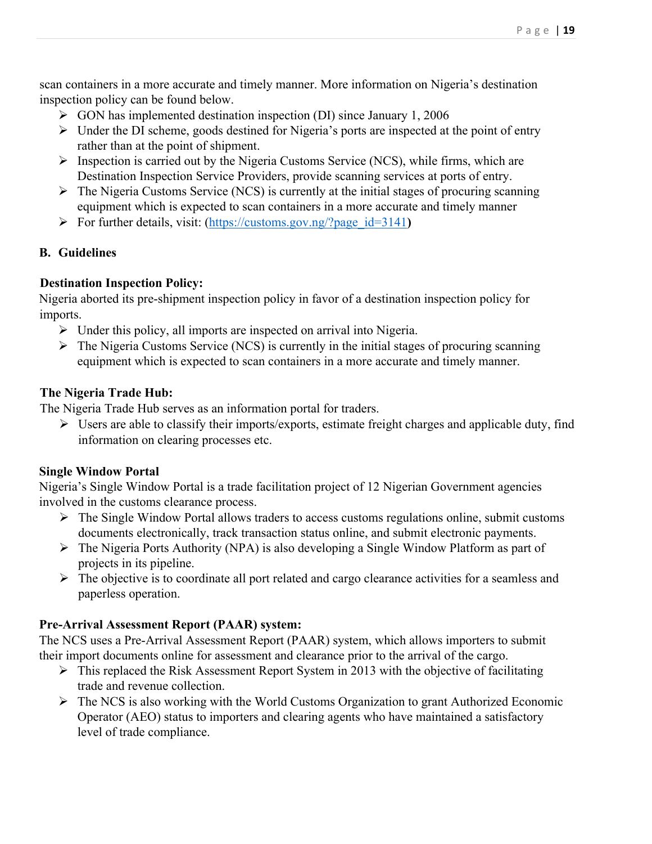scan containers in a more accurate and timely manner. More information on Nigeria's destination inspection policy can be found below.

- $\triangleright$  GON has implemented destination inspection (DI) since January 1, 2006
- $\triangleright$  Under the DI scheme, goods destined for Nigeria's ports are inspected at the point of entry rather than at the point of shipment.
- $\triangleright$  Inspection is carried out by the Nigeria Customs Service (NCS), while firms, which are Destination Inspection Service Providers, provide scanning services at ports of entry.
- $\triangleright$  The Nigeria Customs Service (NCS) is currently at the initial stages of procuring scanning equipment which is expected to scan containers in a more accurate and timely manner
- For further details, visit: [\(https://customs.gov.ng/?page\\_id=3141](https://customs.gov.ng/?page_id=3141)**)**

### **B. Guidelines**

### **Destination Inspection Policy:**

Nigeria aborted its pre-shipment inspection policy in favor of a destination inspection policy for imports.

- $\triangleright$  Under this policy, all imports are inspected on arrival into Nigeria.
- $\triangleright$  The Nigeria Customs Service (NCS) is currently in the initial stages of procuring scanning equipment which is expected to scan containers in a more accurate and timely manner.

### **The Nigeria Trade Hub:**

The Nigeria Trade Hub serves as an information portal for traders.

 $\triangleright$  Users are able to classify their imports/exports, estimate freight charges and applicable duty, find information on clearing processes etc.

### **Single Window Portal**

Nigeria's Single Window Portal is a trade facilitation project of 12 Nigerian Government agencies involved in the customs clearance process.

- $\triangleright$  The Single Window Portal allows traders to access customs regulations online, submit customs documents electronically, track transaction status online, and submit electronic payments.
- $\triangleright$  The Nigeria Ports Authority (NPA) is also developing a Single Window Platform as part of projects in its pipeline.
- $\triangleright$  The objective is to coordinate all port related and cargo clearance activities for a seamless and paperless operation.

### **Pre-Arrival Assessment Report (PAAR) system:**

The NCS uses a Pre-Arrival Assessment Report (PAAR) system, which allows importers to submit their import documents online for assessment and clearance prior to the arrival of the cargo.

- $\triangleright$  This replaced the Risk Assessment Report System in 2013 with the objective of facilitating trade and revenue collection.
- $\triangleright$  The NCS is also working with the World Customs Organization to grant Authorized Economic Operator (AEO) status to importers and clearing agents who have maintained a satisfactory level of trade compliance.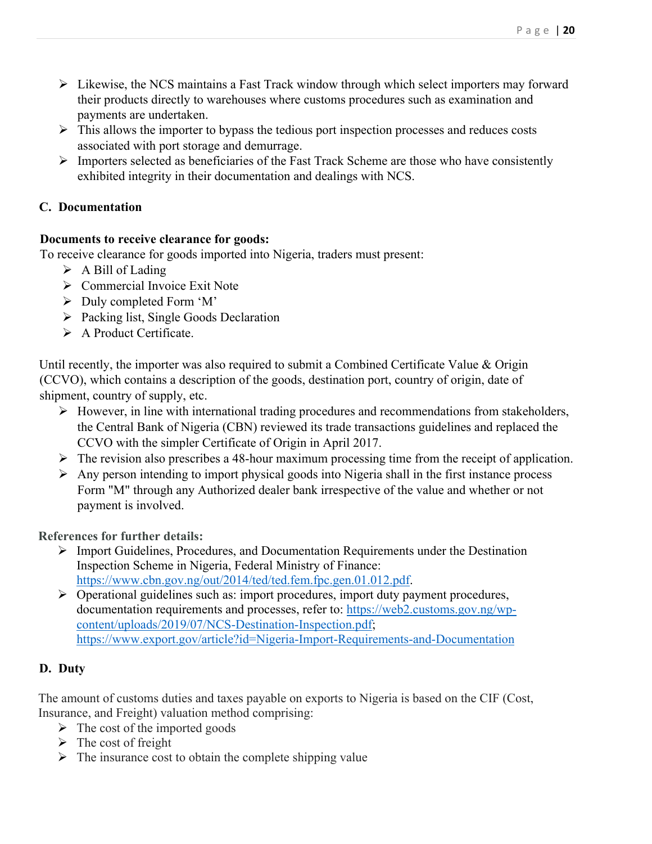- Likewise, the NCS maintains a Fast Track window through which select importers may forward their products directly to warehouses where customs procedures such as examination and payments are undertaken.
- $\triangleright$  This allows the importer to bypass the tedious port inspection processes and reduces costs associated with port storage and demurrage.
- $\triangleright$  Importers selected as beneficiaries of the Fast Track Scheme are those who have consistently exhibited integrity in their documentation and dealings with NCS.

### **C. Documentation**

### **Documents to receive clearance for goods:**

To receive clearance for goods imported into Nigeria, traders must present:

- $\triangleright$  A Bill of Lading
- ▶ Commercial Invoice Exit Note
- $\triangleright$  Duly completed Form 'M'
- $\triangleright$  Packing list, Single Goods Declaration
- A Product Certificate.

Until recently, the importer was also required to submit a Combined Certificate Value  $\&$  Origin (CCVO), which contains a description of the goods, destination port, country of origin, date of shipment, country of supply, etc.

- $\triangleright$  However, in line with international trading procedures and recommendations from stakeholders, the Central Bank of Nigeria (CBN) reviewed its trade transactions guidelines and replaced the CCVO with the simpler Certificate of Origin in April 2017.
- $\triangleright$  The revision also prescribes a 48-hour maximum processing time from the receipt of application.
- $\triangleright$  Any person intending to import physical goods into Nigeria shall in the first instance process Form "M" through any Authorized dealer bank irrespective of the value and whether or not payment is involved.

**References for further details:**

- Import Guidelines, Procedures, and Documentation Requirements under the Destination Inspection Scheme in Nigeria, Federal Ministry of Finance: [https://www.cbn.gov.ng/out/2014/ted/ted.fem.fpc.gen.01.012.pdf.](https://www.cbn.gov.ng/out/2014/ted/ted.fem.fpc.gen.01.012.pdf)
- $\triangleright$  Operational guidelines such as: import procedures, import duty payment procedures, documentation requirements and processes, refer to: [https://web2.customs.gov.ng/wp](https://web2.customs.gov.ng/wp-content/uploads/2019/07/NCS-Destination-Inspection.pdf)[content/uploads/2019/07/NCS-Destination-Inspection.pdf;](https://web2.customs.gov.ng/wp-content/uploads/2019/07/NCS-Destination-Inspection.pdf) <https://www.export.gov/article?id=Nigeria-Import-Requirements-and-Documentation>

# **D. Duty**

The amount of customs duties and taxes payable on exports to Nigeria is based on the CIF (Cost, Insurance, and Freight) valuation method comprising:

- $\triangleright$  The cost of the imported goods
- $\triangleright$  The cost of freight
- $\triangleright$  The insurance cost to obtain the complete shipping value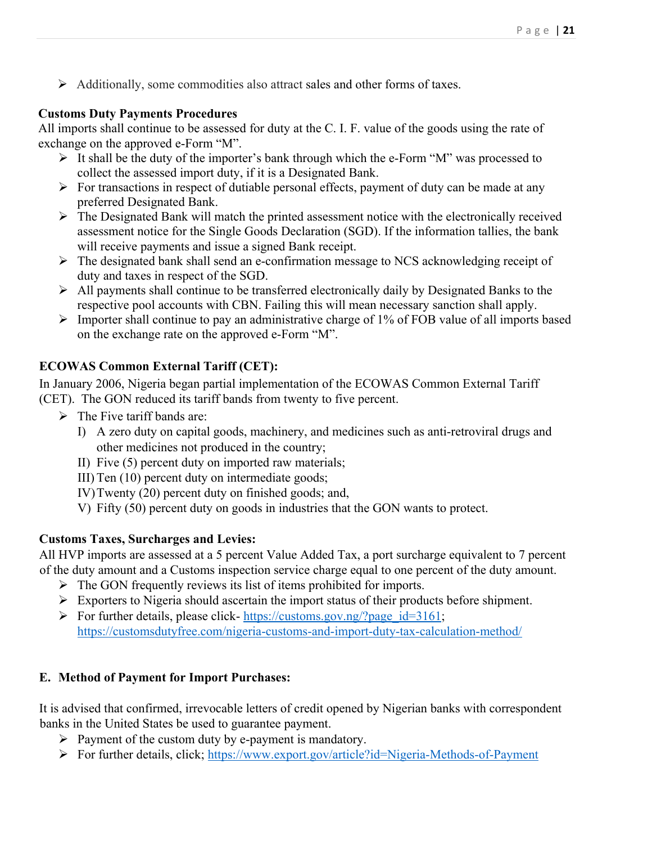$\triangleright$  Additionally, some commodities also attract sales and other forms of taxes.

#### **Customs Duty Payments Procedures**

All imports shall continue to be assessed for duty at the C. I. F. value of the goods using the rate of exchange on the approved e-Form "M".

- $\triangleright$  It shall be the duty of the importer's bank through which the e-Form "M" was processed to collect the assessed import duty, if it is a Designated Bank.
- $\triangleright$  For transactions in respect of dutiable personal effects, payment of duty can be made at any preferred Designated Bank.
- $\triangleright$  The Designated Bank will match the printed assessment notice with the electronically received assessment notice for the Single Goods Declaration (SGD). If the information tallies, the bank will receive payments and issue a signed Bank receipt.
- $\triangleright$  The designated bank shall send an e-confirmation message to NCS acknowledging receipt of duty and taxes in respect of the SGD.
- $\triangleright$  All payments shall continue to be transferred electronically daily by Designated Banks to the respective pool accounts with CBN. Failing this will mean necessary sanction shall apply.
- $\triangleright$  Importer shall continue to pay an administrative charge of 1% of FOB value of all imports based on the exchange rate on the approved e-Form "M".

### **ECOWAS Common External Tariff (CET):**

In January 2006, Nigeria began partial implementation of the ECOWAS Common External Tariff (CET). The GON reduced its tariff bands from twenty to five percent.

- $\triangleright$  The Five tariff bands are:
	- I) A zero duty on capital goods, machinery, and medicines such as anti-retroviral drugs and other medicines not produced in the country;
	- II) Five (5) percent duty on imported raw materials;
	- III) Ten (10) percent duty on intermediate goods;
	- IV)Twenty (20) percent duty on finished goods; and,
	- V) Fifty (50) percent duty on goods in industries that the GON wants to protect.

#### **Customs Taxes, Surcharges and Levies:**

All HVP imports are assessed at a 5 percent Value Added Tax, a port surcharge equivalent to 7 percent of the duty amount and a Customs inspection service charge equal to one percent of the duty amount.

- $\triangleright$  The GON frequently reviews its list of items prohibited for imports.
- $\triangleright$  Exporters to Nigeria should ascertain the import status of their products before shipment.
- For further details, please click- [https://customs.gov.ng/?page\\_id=3161;](https://customs.gov.ng/?page_id=3161) <https://customsdutyfree.com/nigeria-customs-and-import-duty-tax-calculation-method/>

### **E. Method of Payment for Import Purchases:**

It is advised that confirmed, irrevocable letters of credit opened by Nigerian banks with correspondent banks in the United States be used to guarantee payment.

- $\triangleright$  Payment of the custom duty by e-payment is mandatory.
- For further details, click;<https://www.export.gov/article?id=Nigeria-Methods-of-Payment>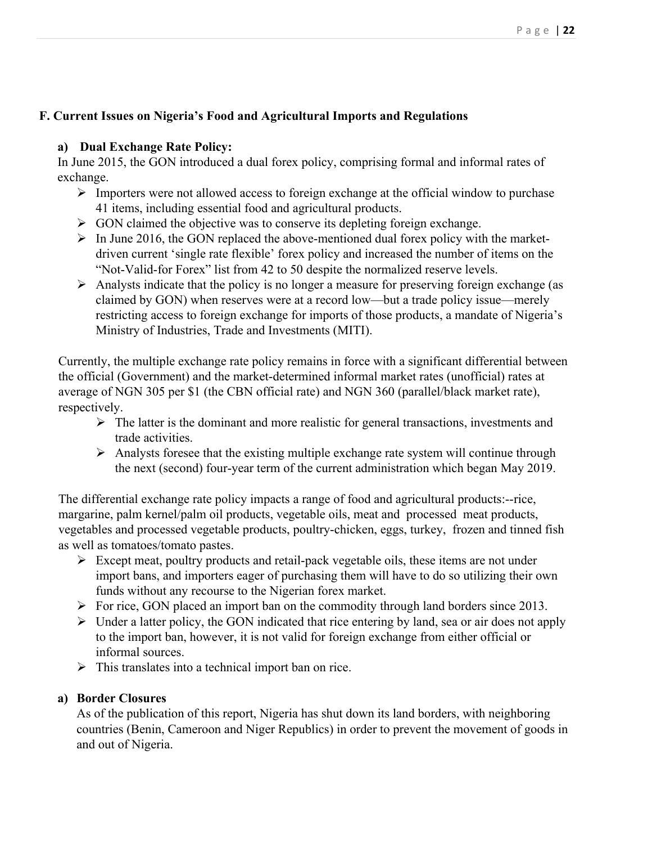### **F. Current Issues on Nigeria's Food and Agricultural Imports and Regulations**

#### **a) Dual Exchange Rate Policy:**

In June 2015, the GON introduced a dual forex policy, comprising formal and informal rates of exchange.

- $\triangleright$  Importers were not allowed access to foreign exchange at the official window to purchase 41 items, including essential food and agricultural products.
- $\triangleright$  GON claimed the objective was to conserve its depleting foreign exchange.
- $\triangleright$  In June 2016, the GON replaced the above-mentioned dual forex policy with the marketdriven current 'single rate flexible' forex policy and increased the number of items on the "Not-Valid-for Forex" list from 42 to 50 despite the normalized reserve levels.
- $\triangleright$  Analysts indicate that the policy is no longer a measure for preserving foreign exchange (as claimed by GON) when reserves were at a record low—but a trade policy issue—merely restricting access to foreign exchange for imports of those products, a mandate of Nigeria's Ministry of Industries, Trade and Investments (MITI).

Currently, the multiple exchange rate policy remains in force with a significant differential between the official (Government) and the market-determined informal market rates (unofficial) rates at average of NGN 305 per \$1 (the CBN official rate) and NGN 360 (parallel/black market rate), respectively.

- $\triangleright$  The latter is the dominant and more realistic for general transactions, investments and trade activities.
- $\triangleright$  Analysts foresee that the existing multiple exchange rate system will continue through the next (second) four-year term of the current administration which began May 2019.

The differential exchange rate policy impacts a range of food and agricultural products:--rice, margarine, palm kernel/palm oil products, vegetable oils, meat and processed meat products, vegetables and processed vegetable products, poultry-chicken, eggs, turkey, frozen and tinned fish as well as tomatoes/tomato pastes.

- $\triangleright$  Except meat, poultry products and retail-pack vegetable oils, these items are not under import bans, and importers eager of purchasing them will have to do so utilizing their own funds without any recourse to the Nigerian forex market.
- $\triangleright$  For rice, GON placed an import ban on the commodity through land borders since 2013.
- $\triangleright$  Under a latter policy, the GON indicated that rice entering by land, sea or air does not apply to the import ban, however, it is not valid for foreign exchange from either official or informal sources.
- $\triangleright$  This translates into a technical import ban on rice.

#### **a) Border Closures**

As of the publication of this report, Nigeria has shut down its land borders, with neighboring countries (Benin, Cameroon and Niger Republics) in order to prevent the movement of goods in and out of Nigeria.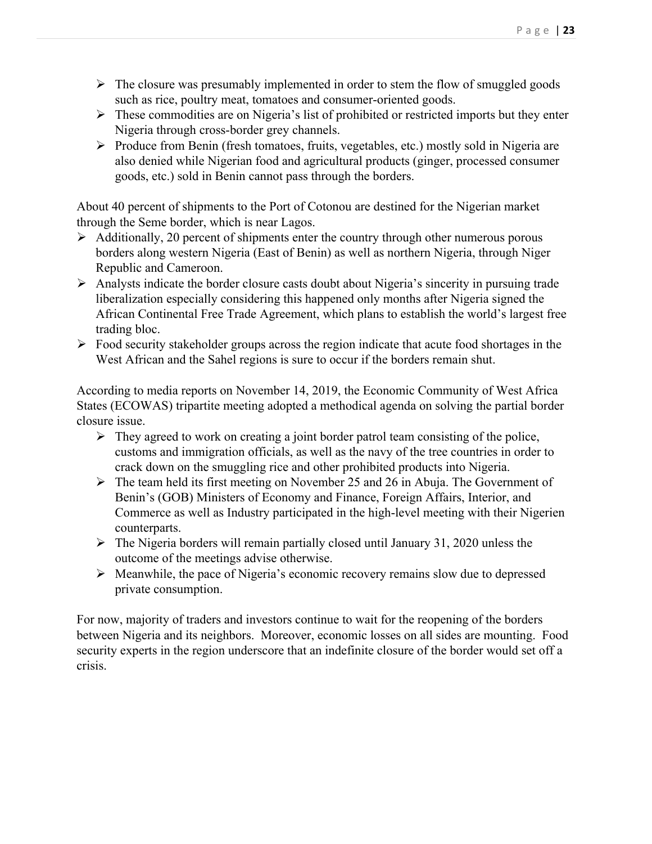- $\triangleright$  The closure was presumably implemented in order to stem the flow of smuggled goods such as rice, poultry meat, tomatoes and consumer-oriented goods.
- $\triangleright$  These commodities are on Nigeria's list of prohibited or restricted imports but they enter Nigeria through cross-border grey channels.
- $\triangleright$  Produce from Benin (fresh tomatoes, fruits, vegetables, etc.) mostly sold in Nigeria are also denied while Nigerian food and agricultural products (ginger, processed consumer goods, etc.) sold in Benin cannot pass through the borders.

About 40 percent of shipments to the Port of Cotonou are destined for the Nigerian market through the Seme border, which is near Lagos.

- $\triangleright$  Additionally, 20 percent of shipments enter the country through other numerous porous borders along western Nigeria (East of Benin) as well as northern Nigeria, through Niger Republic and Cameroon.
- Analysts indicate the border closure casts doubt about Nigeria's sincerity in pursuing trade liberalization especially considering this happened only months after Nigeria signed the African Continental Free Trade Agreement, which plans to establish the world's largest free trading bloc.
- $\triangleright$  Food security stakeholder groups across the region indicate that acute food shortages in the West African and the Sahel regions is sure to occur if the borders remain shut.

According to media reports on November 14, 2019, the Economic Community of West Africa States (ECOWAS) tripartite meeting adopted a methodical agenda on solving the partial border closure issue.

- $\triangleright$  They agreed to work on creating a joint border patrol team consisting of the police, customs and immigration officials, as well as the navy of the tree countries in order to crack down on the smuggling rice and other prohibited products into Nigeria.
- $\triangleright$  The team held its first meeting on November 25 and 26 in Abuja. The Government of Benin's (GOB) Ministers of Economy and Finance, Foreign Affairs, Interior, and Commerce as well as Industry participated in the high-level meeting with their Nigerien counterparts.
- $\triangleright$  The Nigeria borders will remain partially closed until January 31, 2020 unless the outcome of the meetings advise otherwise.
- $\triangleright$  Meanwhile, the pace of Nigeria's economic recovery remains slow due to depressed private consumption.

For now, majority of traders and investors continue to wait for the reopening of the borders between Nigeria and its neighbors. Moreover, economic losses on all sides are mounting. Food security experts in the region underscore that an indefinite closure of the border would set off a crisis.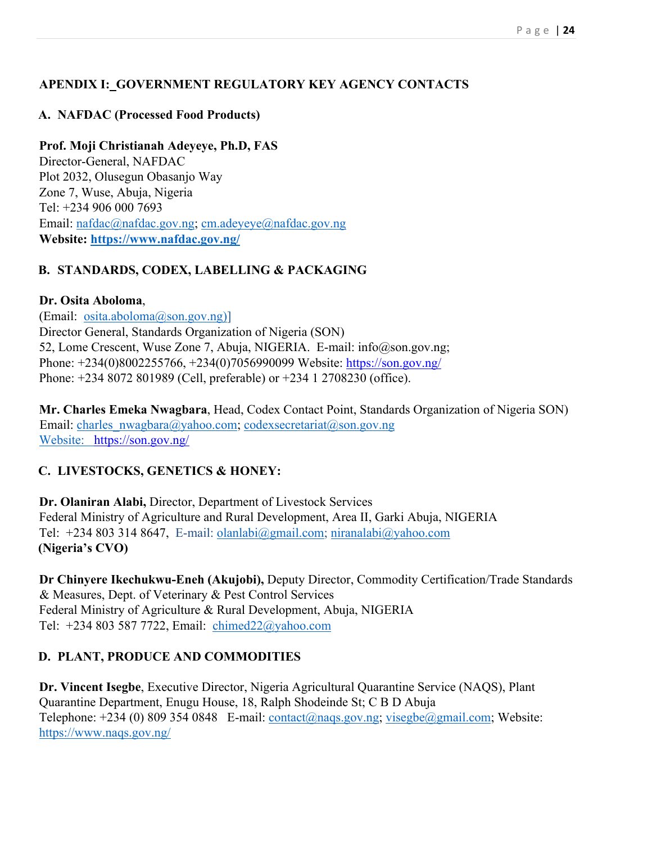### **APENDIX I: GOVERNMENT REGULATORY KEY AGENCY CONTACTS**

### **A. NAFDAC (Processed Food Products)**

#### **Prof. Moji Christianah Adeyeye, Ph.D, FAS**

Director-General, NAFDAC Plot 2032, Olusegun Obasanjo Way Zone 7, Wuse, Abuja, Nigeria Tel: +234 906 000 7693 Email: [nafdac@nafdac.gov.ng;](mailto:nafdac@nafdac.gov.ng) cm.adeyeye@nafdac.gov.ng **Website:<https://www.nafdac.gov.ng/>**

### **B. STANDARDS, CODEX, LABELLING & PACKAGING**

#### **Dr. Osita Aboloma**,

(Email: osita.aboloma@son.gov.ng)] Director General, Standards Organization of Nigeria (SON) 52, Lome Crescent, Wuse Zone 7, Abuja, NIGERIA. E-mail: info@son.gov.ng; Phone: +234(0)8002255766, +234(0)7056990099 Website: https://son.gov.ng/ Phone: +234 8072 801989 (Cell, preferable) or +234 1 2708230 (office).

**Mr. Charles Emeka Nwagbara**, Head, Codex Contact Point, Standards Organization of Nigeria SON) Email: charles\_nwagbara@yahoo.com; codexsecretariat@son.gov.ng Website: <https://son.gov.ng/>

### **C. LIVESTOCKS, GENETICS & HONEY:**

**Dr. Olaniran Alabi,** Director, Department of Livestock Services Federal Ministry of Agriculture and Rural Development, Area II, Garki Abuja, NIGERIA Tel: +234 803 314 8647, E-mail: olanlabi@gmail.com; niranalabi@yahoo.com **(Nigeria's CVO)**

**Dr Chinyere Ikechukwu-Eneh (Akujobi),** Deputy Director, Commodity Certification/Trade Standards & Measures, Dept. of Veterinary & Pest Control Services Federal Ministry of Agriculture & Rural Development, Abuja, NIGERIA Tel: +234 803 587 7722, Email: chimed22@yahoo.com

### **D. PLANT, PRODUCE AND COMMODITIES**

**Dr. Vincent Isegbe**, Executive Director, Nigeria Agricultural Quarantine Service (NAQS), Plant Quarantine Department, Enugu House, 18, Ralph Shodeinde St; C B D Abuja Telephone:  $+234$  (0) 809 354 0848 E-mail: contact@naqs.gov.ng; visegbe@gmail.com; Website: <https://www.naqs.gov.ng/>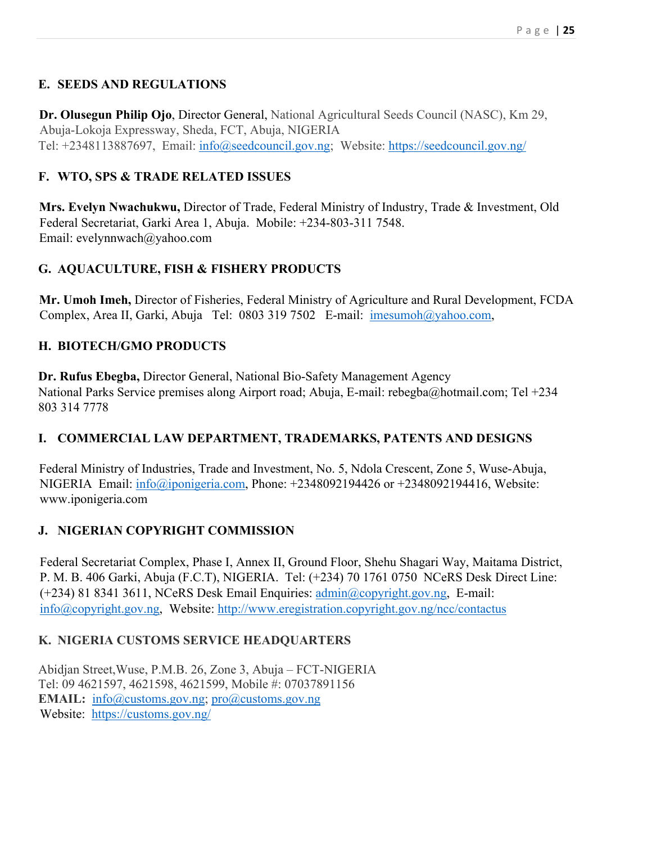### **E. SEEDS AND REGULATIONS**

**Dr. Olusegun Philip Ojo**, Director General, National Agricultural Seeds Council (NASC), Km 29, Abuja-Lokoja Expressway, Sheda, FCT, Abuja, NIGERIA Tel: +2348113887697, Email: info@seedcouncil.gov.ng; Website:<https://seedcouncil.gov.ng/>

### **F. WTO, SPS & TRADE RELATED ISSUES**

**Mrs. Evelyn Nwachukwu,** Director of Trade, Federal Ministry of Industry, Trade & Investment, Old Federal Secretariat, Garki Area 1, Abuja. Mobile: +234-803-311 7548. Email: evelynnwach@yahoo.com

### **G. AQUACULTURE, FISH & FISHERY PRODUCTS**

**Mr. Umoh Imeh,** Director of Fisheries, Federal Ministry of Agriculture and Rural Development, FCDA Complex, Area II, Garki, Abuja Tel: 0803 319 7502 E-mail: imesumoh@yahoo.com,

### **H. BIOTECH/GMO PRODUCTS**

**Dr. Rufus Ebegba,** Director General, National Bio-Safety Management Agency National Parks Service premises along Airport road; Abuja, E-mail: rebegba@hotmail.com; Tel +234 803 314 7778

#### **I. COMMERCIAL LAW DEPARTMENT, TRADEMARKS, PATENTS AND DESIGNS**

Federal Ministry of Industries, Trade and Investment, No. 5, Ndola Crescent, Zone 5, Wuse-Abuja, NIGERIA Email: info@iponigeria.com, Phone: +2348092194426 or +2348092194416, Website: www.iponigeria.com

#### **J. NIGERIAN COPYRIGHT COMMISSION**

Federal Secretariat Complex, Phase I, Annex II, Ground Floor, Shehu Shagari Way, Maitama District, P. M. B. 406 Garki, Abuja (F.C.T), NIGERIA. Tel: (+234) 70 1761 0750 NCeRS Desk Direct Line: (+234) 81 8341 3611, NCeRS Desk Email Enquiries: admin@copyright.gov.ng, E-mail: info@copyright.gov.ng, Website:<http://www.eregistration.copyright.gov.ng/ncc/contactus>

### **K. NIGERIA CUSTOMS SERVICE HEADQUARTERS**

Abidjan Street,Wuse, P.M.B. 26, Zone 3, Abuja – FCT-NIGERIA Tel: 09 4621597, 4621598, 4621599, Mobile #: 07037891156 **EMAIL:** info@customs.gov.ng; pro@customs.gov.ng Website: <https://customs.gov.ng/>